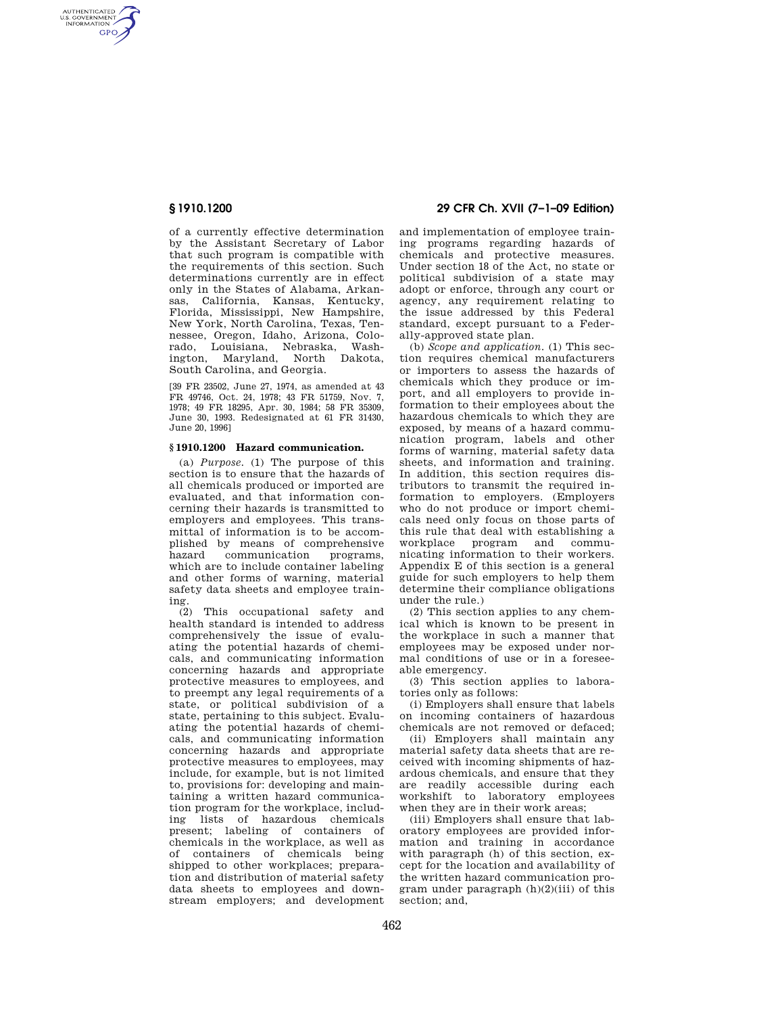AUTHENTICATED<br>U.S. GOVERNMENT<br>INFORMATION **GPO** 

> of a currently effective determination by the Assistant Secretary of Labor that such program is compatible with the requirements of this section. Such determinations currently are in effect only in the States of Alabama, Arkansas, California, Kansas, Kentucky, Florida, Mississippi, New Hampshire, New York, North Carolina, Texas, Tennessee, Oregon, Idaho, Arizona, Colorado, Louisiana, Nebraska, Washington, Maryland, North South Carolina, and Georgia.

> [39 FR 23502, June 27, 1974, as amended at 43 FR 49746, Oct. 24, 1978; 43 FR 51759, Nov. 7, 1978; 49 FR 18295, Apr. 30, 1984; 58 FR 35309, June 30, 1993. Redesignated at 61 FR 31430, June 20, 1996]

## **§ 1910.1200 Hazard communication.**

(a) *Purpose.* (1) The purpose of this section is to ensure that the hazards of all chemicals produced or imported are evaluated, and that information concerning their hazards is transmitted to employers and employees. This transmittal of information is to be accomplished by means of comprehensive hazard communication programs, which are to include container labeling and other forms of warning, material safety data sheets and employee training.

(2) This occupational safety and health standard is intended to address comprehensively the issue of evaluating the potential hazards of chemicals, and communicating information concerning hazards and appropriate protective measures to employees, and to preempt any legal requirements of a state, or political subdivision of a state, pertaining to this subject. Evaluating the potential hazards of chemicals, and communicating information concerning hazards and appropriate protective measures to employees, may include, for example, but is not limited to, provisions for: developing and maintaining a written hazard communication program for the workplace, including lists of hazardous chemicals present; labeling of containers of chemicals in the workplace, as well as of containers of chemicals being shipped to other workplaces; preparation and distribution of material safety data sheets to employees and downstream employers; and development

# **§ 1910.1200 29 CFR Ch. XVII (7–1–09 Edition)**

and implementation of employee training programs regarding hazards of chemicals and protective measures. Under section 18 of the Act, no state or political subdivision of a state may adopt or enforce, through any court or agency, any requirement relating to the issue addressed by this Federal standard, except pursuant to a Federally-approved state plan.

(b) *Scope and application.* (1) This section requires chemical manufacturers or importers to assess the hazards of chemicals which they produce or import, and all employers to provide information to their employees about the hazardous chemicals to which they are exposed, by means of a hazard communication program, labels and other forms of warning, material safety data sheets, and information and training. In addition, this section requires distributors to transmit the required information to employers. (Employers who do not produce or import chemicals need only focus on those parts of this rule that deal with establishing a workplace program and communicating information to their workers. Appendix E of this section is a general guide for such employers to help them determine their compliance obligations under the rule.)

(2) This section applies to any chemical which is known to be present in the workplace in such a manner that employees may be exposed under normal conditions of use or in a foreseeable emergency.

(3) This section applies to laboratories only as follows:

(i) Employers shall ensure that labels on incoming containers of hazardous chemicals are not removed or defaced;

(ii) Employers shall maintain any material safety data sheets that are received with incoming shipments of hazardous chemicals, and ensure that they are readily accessible during each workshift to laboratory employees when they are in their work areas;

(iii) Employers shall ensure that laboratory employees are provided information and training in accordance with paragraph (h) of this section, except for the location and availability of the written hazard communication program under paragraph (h)(2)(iii) of this section; and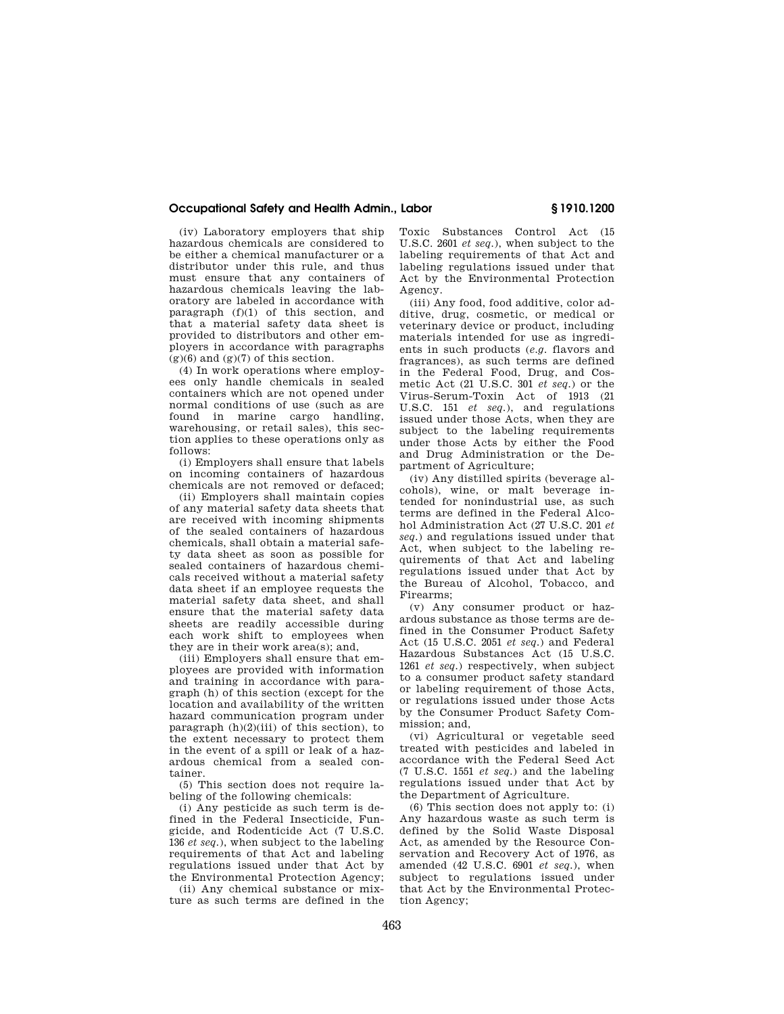(iv) Laboratory employers that ship hazardous chemicals are considered to be either a chemical manufacturer or a distributor under this rule, and thus must ensure that any containers of hazardous chemicals leaving the laboratory are labeled in accordance with paragraph (f)(1) of this section, and that a material safety data sheet is provided to distributors and other employers in accordance with paragraphs  $(g)(6)$  and  $(g)(7)$  of this section.

(4) In work operations where employees only handle chemicals in sealed containers which are not opened under normal conditions of use (such as are found in marine cargo handling, warehousing, or retail sales), this section applies to these operations only as follows:

(i) Employers shall ensure that labels on incoming containers of hazardous chemicals are not removed or defaced;

(ii) Employers shall maintain copies of any material safety data sheets that are received with incoming shipments of the sealed containers of hazardous chemicals, shall obtain a material safety data sheet as soon as possible for sealed containers of hazardous chemicals received without a material safety data sheet if an employee requests the material safety data sheet, and shall ensure that the material safety data sheets are readily accessible during each work shift to employees when they are in their work area(s); and,

(iii) Employers shall ensure that employees are provided with information and training in accordance with paragraph (h) of this section (except for the location and availability of the written hazard communication program under paragraph  $(h)(2)(iii)$  of this section), to the extent necessary to protect them in the event of a spill or leak of a hazardous chemical from a sealed container.

(5) This section does not require labeling of the following chemicals:

(i) Any pesticide as such term is defined in the Federal Insecticide, Fungicide, and Rodenticide Act (7 U.S.C. 136 *et seq.*), when subject to the labeling requirements of that Act and labeling regulations issued under that Act by the Environmental Protection Agency;

(ii) Any chemical substance or mixture as such terms are defined in the Toxic Substances Control Act (15 U.S.C. 2601 *et seq.*), when subject to the labeling requirements of that Act and labeling regulations issued under that Act by the Environmental Protection Agency.

(iii) Any food, food additive, color additive, drug, cosmetic, or medical or veterinary device or product, including materials intended for use as ingredients in such products (*e.g.* flavors and fragrances), as such terms are defined in the Federal Food, Drug, and Cosmetic Act (21 U.S.C. 301 *et seq.*) or the Virus-Serum-Toxin Act of 1913 (21 U.S.C. 151 *et seq.*), and regulations issued under those Acts, when they are subject to the labeling requirements under those Acts by either the Food and Drug Administration or the Department of Agriculture;

(iv) Any distilled spirits (beverage alcohols), wine, or malt beverage intended for nonindustrial use, as such terms are defined in the Federal Alcohol Administration Act (27 U.S.C. 201 *et seq.*) and regulations issued under that Act, when subject to the labeling requirements of that Act and labeling regulations issued under that Act by the Bureau of Alcohol, Tobacco, and Firearms;

(v) Any consumer product or hazardous substance as those terms are defined in the Consumer Product Safety Act (15 U.S.C. 2051 *et seq.*) and Federal Hazardous Substances Act (15 U.S.C. 1261 *et seq.*) respectively, when subject to a consumer product safety standard or labeling requirement of those Acts, or regulations issued under those Acts by the Consumer Product Safety Commission; and,

(vi) Agricultural or vegetable seed treated with pesticides and labeled in accordance with the Federal Seed Act (7 U.S.C. 1551 *et seq.*) and the labeling regulations issued under that Act by the Department of Agriculture.

(6) This section does not apply to: (i) Any hazardous waste as such term is defined by the Solid Waste Disposal Act, as amended by the Resource Conservation and Recovery Act of 1976, as amended (42 U.S.C. 6901 *et seq.*), when subject to regulations issued under that Act by the Environmental Protection Agency;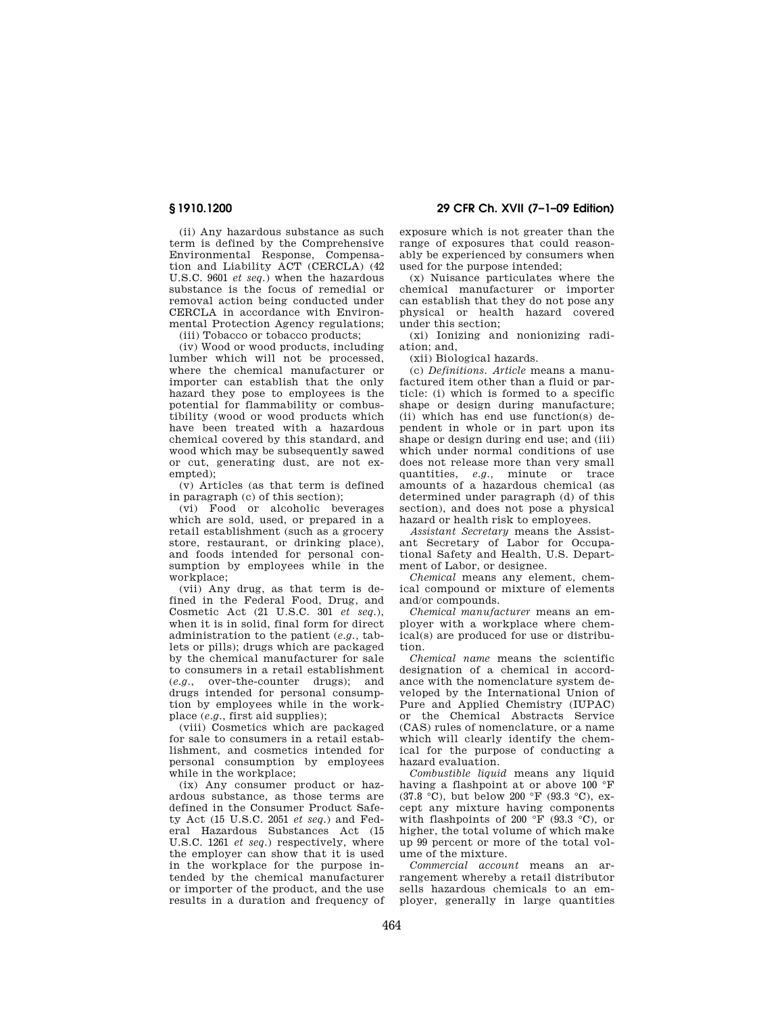(ii) Any hazardous substance as such term is defined by the Comprehensive Environmental Response, Compensation and Liability ACT (CERCLA) (42 U.S.C. 9601 *et seq.*) when the hazardous substance is the focus of remedial or removal action being conducted under CERCLA in accordance with Environmental Protection Agency regulations;

(iii) Tobacco or tobacco products;

(iv) Wood or wood products, including lumber which will not be processed, where the chemical manufacturer or importer can establish that the only hazard they pose to employees is the potential for flammability or combustibility (wood or wood products which have been treated with a hazardous chemical covered by this standard, and wood which may be subsequently sawed or cut, generating dust, are not exempted);

(v) Articles (as that term is defined in paragraph (c) of this section);

(vi) Food or alcoholic beverages which are sold, used, or prepared in a retail establishment (such as a grocery store, restaurant, or drinking place), and foods intended for personal consumption by employees while in the workplace;

(vii) Any drug, as that term is defined in the Federal Food, Drug, and Cosmetic Act (21 U.S.C. 301 *et seq.*), when it is in solid, final form for direct administration to the patient (*e.g.,* tablets or pills); drugs which are packaged by the chemical manufacturer for sale to consumers in a retail establishment (*e.g*., over-the-counter drugs); and drugs intended for personal consumption by employees while in the workplace (*e.g*., first aid supplies);

(viii) Cosmetics which are packaged for sale to consumers in a retail establishment, and cosmetics intended for personal consumption by employees while in the workplace;

(ix) Any consumer product or hazardous substance, as those terms are defined in the Consumer Product Safety Act (15 U.S.C. 2051 *et seq.*) and Federal Hazardous Substances Act (15 U.S.C. 1261 *et seq.*) respectively, where the employer can show that it is used in the workplace for the purpose intended by the chemical manufacturer or importer of the product, and the use results in a duration and frequency of

**§ 1910.1200 29 CFR Ch. XVII (7–1–09 Edition)** 

exposure which is not greater than the range of exposures that could reasonably be experienced by consumers when used for the purpose intended;

(x) Nuisance particulates where the chemical manufacturer or importer can establish that they do not pose any physical or health hazard covered under this section;

(xi) Ionizing and nonionizing radiation; and,

(xii) Biological hazards.

(c) *Definitions. Article* means a manufactured item other than a fluid or particle: (i) which is formed to a specific shape or design during manufacture; (ii) which has end use function(s) dependent in whole or in part upon its shape or design during end use; and (iii) which under normal conditions of use does not release more than very small quantities, *e.g.,* minute or trace amounts of a hazardous chemical (as determined under paragraph (d) of this section), and does not pose a physical hazard or health risk to employees.

*Assistant Secretary* means the Assistant Secretary of Labor for Occupational Safety and Health, U.S. Department of Labor, or designee.

*Chemical* means any element, chemical compound or mixture of elements and/or compounds.

*Chemical manufacturer* means an employer with a workplace where chemical(s) are produced for use or distribution.

*Chemical name* means the scientific designation of a chemical in accordance with the nomenclature system developed by the International Union of Pure and Applied Chemistry (IUPAC) or the Chemical Abstracts Service (CAS) rules of nomenclature, or a name which will clearly identify the chemical for the purpose of conducting a hazard evaluation.

*Combustible liquid* means any liquid having a flashpoint at or above 100 °F (37.8 °C), but below 200 °F (93.3 °C), except any mixture having components with flashpoints of 200  $\overline{P}$  (93.3  $\overline{C}$ ), or higher, the total volume of which make up 99 percent or more of the total volume of the mixture.

*Commercial account* means an arrangement whereby a retail distributor sells hazardous chemicals to an employer, generally in large quantities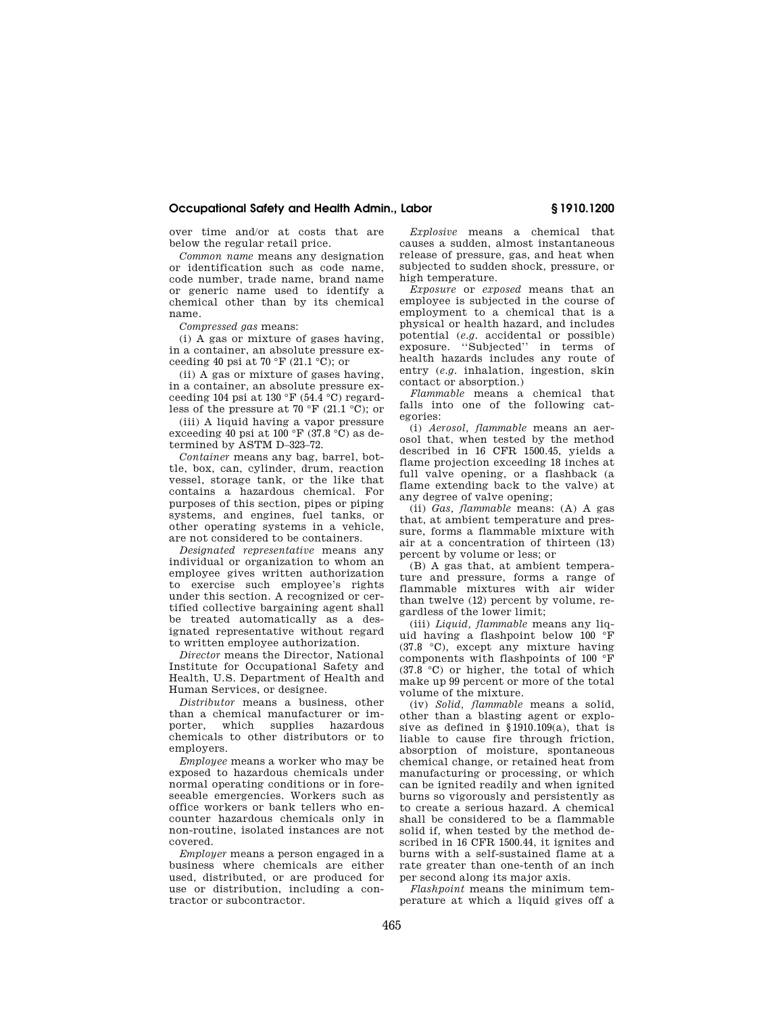over time and/or at costs that are below the regular retail price.

*Common name* means any designation or identification such as code name, code number, trade name, brand name or generic name used to identify a chemical other than by its chemical name.

*Compressed gas* means:

(i) A gas or mixture of gases having, in a container, an absolute pressure exceeding 40 psi at 70 °F (21.1 °C); or

(ii) A gas or mixture of gases having, in a container, an absolute pressure exceeding 104 psi at 130 °F (54.4 °C) regardless of the pressure at 70 °F (21.1 °C); or

(iii) A liquid having a vapor pressure exceeding 40 psi at 100 °F (37.8 °C) as determined by ASTM D–323–72.

*Container* means any bag, barrel, bottle, box, can, cylinder, drum, reaction vessel, storage tank, or the like that contains a hazardous chemical. For purposes of this section, pipes or piping systems, and engines, fuel tanks, or other operating systems in a vehicle, are not considered to be containers.

*Designated representative* means any individual or organization to whom an employee gives written authorization to exercise such employee's rights under this section. A recognized or certified collective bargaining agent shall be treated automatically as a designated representative without regard to written employee authorization.

*Director* means the Director, National Institute for Occupational Safety and Health, U.S. Department of Health and Human Services, or designee.

*Distributor* means a business, other than a chemical manufacturer or importer, which supplies hazardous chemicals to other distributors or to employers.

*Employee* means a worker who may be exposed to hazardous chemicals under normal operating conditions or in foreseeable emergencies. Workers such as office workers or bank tellers who encounter hazardous chemicals only in non-routine, isolated instances are not covered.

*Employer* means a person engaged in a business where chemicals are either used, distributed, or are produced for use or distribution, including a contractor or subcontractor.

*Explosive* means a chemical that causes a sudden, almost instantaneous release of pressure, gas, and heat when subjected to sudden shock, pressure, or high temperature.

*Exposure* or *exposed* means that an employee is subjected in the course of employment to a chemical that is a physical or health hazard, and includes potential (*e.g.* accidental or possible) exposure. ''Subjected'' in terms of health hazards includes any route of entry (*e.g.* inhalation, ingestion, skin contact or absorption.)

*Flammable* means a chemical that falls into one of the following categories:

(i) *Aerosol, flammable* means an aerosol that, when tested by the method described in 16 CFR 1500.45, yields a flame projection exceeding 18 inches at full valve opening, or a flashback (a flame extending back to the valve) at any degree of valve opening;

(ii) *Gas, flammable* means: (A) A gas that, at ambient temperature and pressure, forms a flammable mixture with air at a concentration of thirteen (13) percent by volume or less; or

(B) A gas that, at ambient temperature and pressure, forms a range of flammable mixtures with air wider than twelve (12) percent by volume, regardless of the lower limit;

(iii) *Liquid, flammable* means any liquid having a flashpoint below 100 °F (37.8 °C), except any mixture having components with flashpoints of 100 °F (37.8 °C) or higher, the total of which make up 99 percent or more of the total volume of the mixture.

(iv) *Solid, flammable* means a solid, other than a blasting agent or explosive as defined in §1910.109(a), that is liable to cause fire through friction, absorption of moisture, spontaneous chemical change, or retained heat from manufacturing or processing, or which can be ignited readily and when ignited burns so vigorously and persistently as to create a serious hazard. A chemical shall be considered to be a flammable solid if, when tested by the method described in 16 CFR 1500.44, it ignites and burns with a self-sustained flame at a rate greater than one-tenth of an inch per second along its major axis.

*Flashpoint* means the minimum temperature at which a liquid gives off a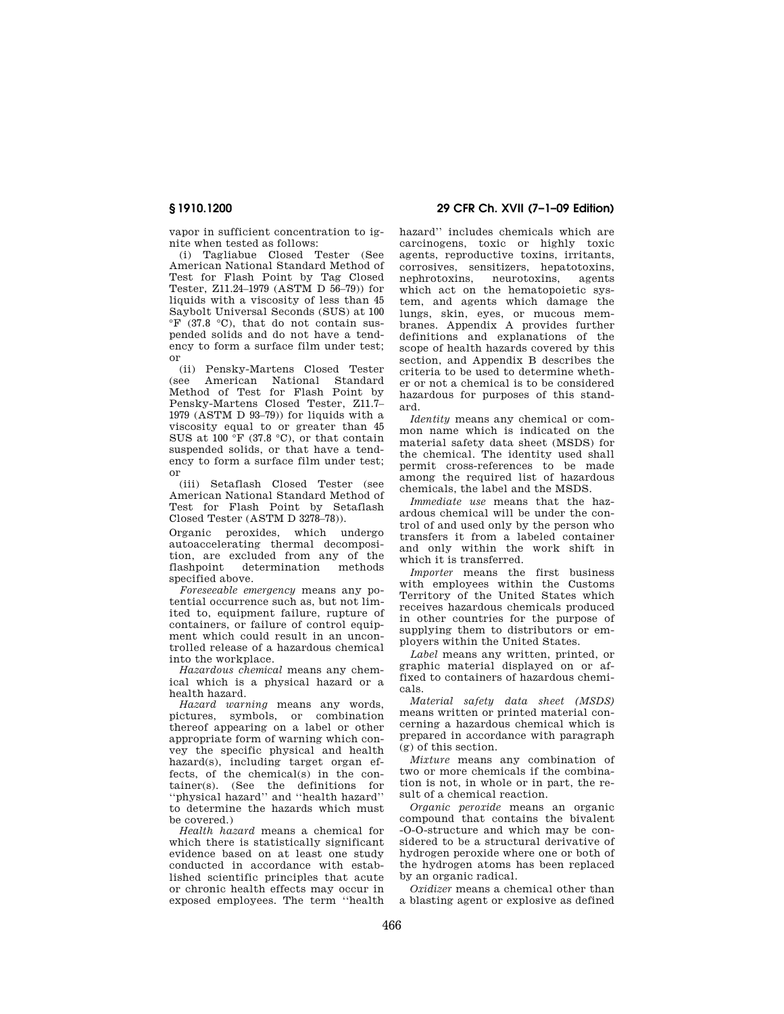vapor in sufficient concentration to ignite when tested as follows:

(i) Tagliabue Closed Tester (See American National Standard Method of Test for Flash Point by Tag Closed Tester, Z11.24–1979 (ASTM D 56–79)) for liquids with a viscosity of less than 45 Saybolt Universal Seconds (SUS) at 100 °F (37.8 °C), that do not contain suspended solids and do not have a tendency to form a surface film under test; or

(ii) Pensky-Martens Closed Tester (see American National Standard Method of Test for Flash Point by Pensky-Martens Closed Tester, Z11.7– 1979 (ASTM D 93–79)) for liquids with a viscosity equal to or greater than 45 SUS at 100 °F (37.8 °C), or that contain suspended solids, or that have a tendency to form a surface film under test; or

(iii) Setaflash Closed Tester (see American National Standard Method of Test for Flash Point by Setaflash Closed Tester (ASTM D 3278–78)).

Organic peroxides, which undergo autoaccelerating thermal decomposition, are excluded from any of the flashpoint determination methods specified above.

*Foreseeable emergency* means any potential occurrence such as, but not limited to, equipment failure, rupture of containers, or failure of control equipment which could result in an uncontrolled release of a hazardous chemical into the workplace.

*Hazardous chemical* means any chemical which is a physical hazard or a health hazard.

*Hazard warning* means any words, pictures, symbols, or combination thereof appearing on a label or other appropriate form of warning which convey the specific physical and health hazard(s), including target organ effects, of the chemical(s) in the container(s). (See the definitions for ''physical hazard'' and ''health hazard'' to determine the hazards which must be covered.)

*Health hazard* means a chemical for which there is statistically significant evidence based on at least one study conducted in accordance with established scientific principles that acute or chronic health effects may occur in exposed employees. The term ''health

**§ 1910.1200 29 CFR Ch. XVII (7–1–09 Edition)** 

hazard'' includes chemicals which are carcinogens, toxic or highly toxic agents, reproductive toxins, irritants, corrosives, sensitizers, hepatotoxins, nephrotoxins, neurotoxins, agents which act on the hematopoietic system, and agents which damage the lungs, skin, eyes, or mucous membranes. Appendix A provides further definitions and explanations of the scope of health hazards covered by this section, and Appendix B describes the criteria to be used to determine whether or not a chemical is to be considered hazardous for purposes of this standard.

*Identity* means any chemical or common name which is indicated on the material safety data sheet (MSDS) for the chemical. The identity used shall permit cross-references to be made among the required list of hazardous chemicals, the label and the MSDS.

*Immediate use* means that the hazardous chemical will be under the control of and used only by the person who transfers it from a labeled container and only within the work shift in which it is transferred.

*Importer* means the first business with employees within the Customs Territory of the United States which receives hazardous chemicals produced in other countries for the purpose of supplying them to distributors or employers within the United States.

*Label* means any written, printed, or graphic material displayed on or affixed to containers of hazardous chemicals.

*Material safety data sheet (MSDS)*  means written or printed material concerning a hazardous chemical which is prepared in accordance with paragraph (g) of this section.

*Mixture* means any combination of two or more chemicals if the combination is not, in whole or in part, the result of a chemical reaction.

*Organic peroxide* means an organic compound that contains the bivalent -O-O-structure and which may be considered to be a structural derivative of hydrogen peroxide where one or both of the hydrogen atoms has been replaced by an organic radical.

*Oxidizer* means a chemical other than a blasting agent or explosive as defined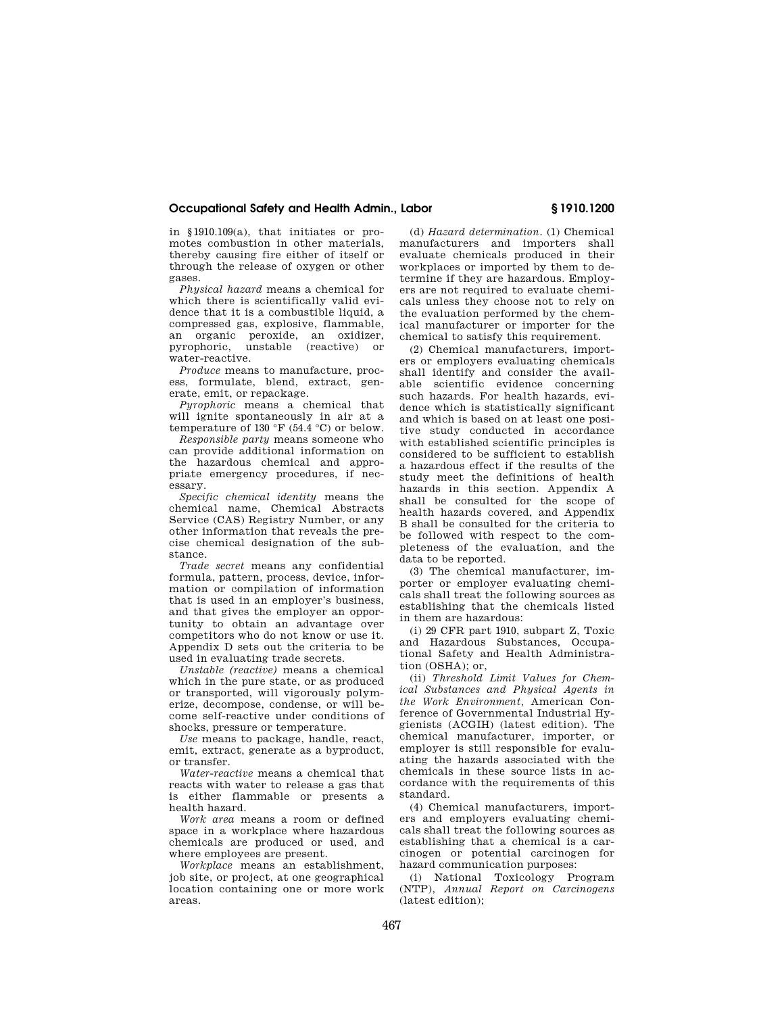in §1910.109(a), that initiates or promotes combustion in other materials, thereby causing fire either of itself or through the release of oxygen or other gases.

*Physical hazard* means a chemical for which there is scientifically valid evidence that it is a combustible liquid, a compressed gas, explosive, flammable, an organic peroxide, an oxidizer, pyrophoric, unstable (reactive) or water-reactive.

*Produce* means to manufacture, process, formulate, blend, extract, generate, emit, or repackage.

*Pyrophoric* means a chemical that will ignite spontaneously in air at a temperature of 130 °F (54.4 °C) or below.

*Responsible party* means someone who can provide additional information on the hazardous chemical and appropriate emergency procedures, if necessary.

*Specific chemical identity* means the chemical name, Chemical Abstracts Service (CAS) Registry Number, or any other information that reveals the precise chemical designation of the substance.

*Trade secret* means any confidential formula, pattern, process, device, information or compilation of information that is used in an employer's business, and that gives the employer an opportunity to obtain an advantage over competitors who do not know or use it. Appendix D sets out the criteria to be used in evaluating trade secrets.

*Unstable (reactive)* means a chemical which in the pure state, or as produced or transported, will vigorously polymerize, decompose, condense, or will become self-reactive under conditions of shocks, pressure or temperature.

*Use* means to package, handle, react, emit, extract, generate as a byproduct, or transfer.

*Water-reactive* means a chemical that reacts with water to release a gas that is either flammable or presents a health hazard.

*Work area* means a room or defined space in a workplace where hazardous chemicals are produced or used, and where employees are present.

*Workplace* means an establishment, job site, or project, at one geographical location containing one or more work areas.

(d) *Hazard determination.* (1) Chemical manufacturers and importers shall evaluate chemicals produced in their workplaces or imported by them to determine if they are hazardous. Employers are not required to evaluate chemicals unless they choose not to rely on the evaluation performed by the chemical manufacturer or importer for the chemical to satisfy this requirement.

(2) Chemical manufacturers, importers or employers evaluating chemicals shall identify and consider the available scientific evidence concerning such hazards. For health hazards, evidence which is statistically significant and which is based on at least one positive study conducted in accordance with established scientific principles is considered to be sufficient to establish a hazardous effect if the results of the study meet the definitions of health hazards in this section. Appendix A shall be consulted for the scope of health hazards covered, and Appendix B shall be consulted for the criteria to be followed with respect to the completeness of the evaluation, and the data to be reported.

(3) The chemical manufacturer, importer or employer evaluating chemicals shall treat the following sources as establishing that the chemicals listed in them are hazardous:

(i) 29 CFR part 1910, subpart Z, Toxic and Hazardous Substances, Occupational Safety and Health Administration (OSHA); or,

(ii) *Threshold Limit Values for Chemical Substances and Physical Agents in the Work Environment,* American Conference of Governmental Industrial Hygienists (ACGIH) (latest edition). The chemical manufacturer, importer, or employer is still responsible for evaluating the hazards associated with the chemicals in these source lists in accordance with the requirements of this standard.

(4) Chemical manufacturers, importers and employers evaluating chemicals shall treat the following sources as establishing that a chemical is a carcinogen or potential carcinogen for hazard communication purposes:

(i) National Toxicology Program (NTP), *Annual Report on Carcinogens*  (latest edition);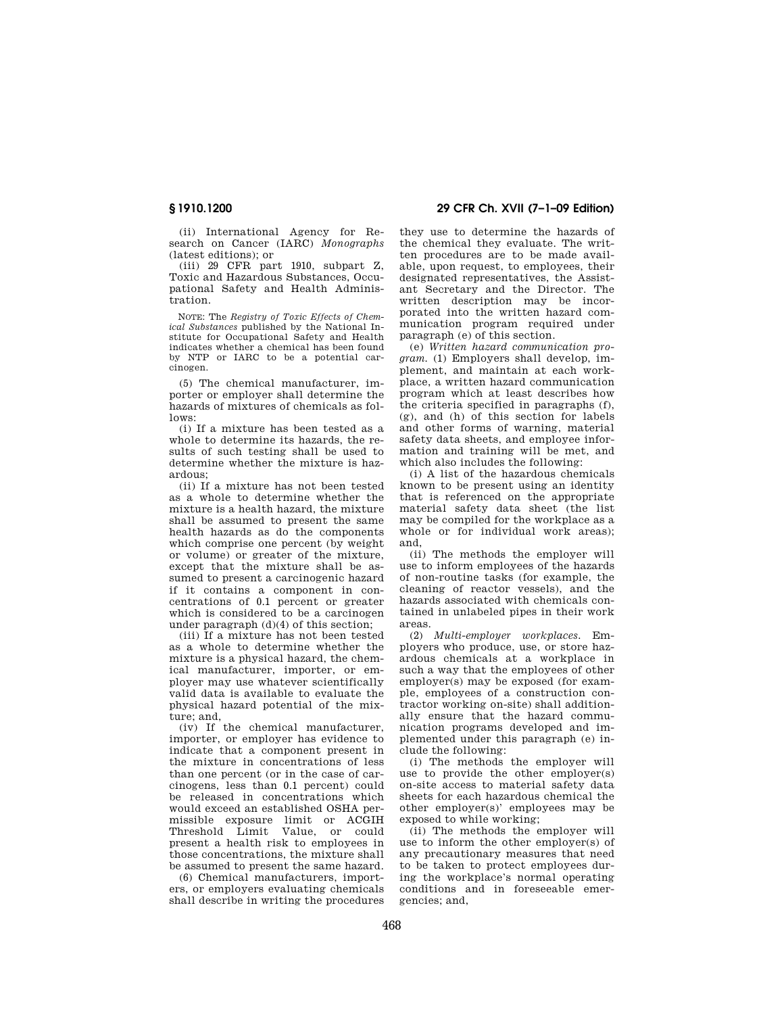(ii) International Agency for Research on Cancer (IARC) *Monographs*  (latest editions); or

(iii) 29 CFR part 1910, subpart Z, Toxic and Hazardous Substances, Occupational Safety and Health Administration.

NOTE: The *Registry of Toxic Effects of Chemical Substances* published by the National Institute for Occupational Safety and Health indicates whether a chemical has been found by NTP or IARC to be a potential carcinogen.

(5) The chemical manufacturer, importer or employer shall determine the hazards of mixtures of chemicals as follows:

(i) If a mixture has been tested as a whole to determine its hazards, the results of such testing shall be used to determine whether the mixture is hazardous;

(ii) If a mixture has not been tested as a whole to determine whether the mixture is a health hazard, the mixture shall be assumed to present the same health hazards as do the components which comprise one percent (by weight or volume) or greater of the mixture, except that the mixture shall be assumed to present a carcinogenic hazard if it contains a component in concentrations of 0.1 percent or greater which is considered to be a carcinogen under paragraph (d)(4) of this section;

(iii) If a mixture has not been tested as a whole to determine whether the mixture is a physical hazard, the chemical manufacturer, importer, or employer may use whatever scientifically valid data is available to evaluate the physical hazard potential of the mixture; and,

(iv) If the chemical manufacturer, importer, or employer has evidence to indicate that a component present in the mixture in concentrations of less than one percent (or in the case of carcinogens, less than 0.1 percent) could be released in concentrations which would exceed an established OSHA permissible exposure limit or ACGIH Threshold Limit Value, or could present a health risk to employees in those concentrations, the mixture shall be assumed to present the same hazard.

(6) Chemical manufacturers, importers, or employers evaluating chemicals shall describe in writing the procedures

**§ 1910.1200 29 CFR Ch. XVII (7–1–09 Edition)** 

they use to determine the hazards of the chemical they evaluate. The written procedures are to be made available, upon request, to employees, their designated representatives, the Assistant Secretary and the Director. The written description may be incorporated into the written hazard communication program required under paragraph (e) of this section.

(e) *Written hazard communication program.* (1) Employers shall develop, implement, and maintain at each workplace, a written hazard communication program which at least describes how the criteria specified in paragraphs (f), (g), and (h) of this section for labels and other forms of warning, material safety data sheets, and employee information and training will be met, and which also includes the following:

(i) A list of the hazardous chemicals known to be present using an identity that is referenced on the appropriate material safety data sheet (the list may be compiled for the workplace as a whole or for individual work areas); and,

(ii) The methods the employer will use to inform employees of the hazards of non-routine tasks (for example, the cleaning of reactor vessels), and the hazards associated with chemicals contained in unlabeled pipes in their work areas.

(2) *Multi-employer workplaces.* Employers who produce, use, or store hazardous chemicals at a workplace in such a way that the employees of other employer(s) may be exposed (for example, employees of a construction contractor working on-site) shall additionally ensure that the hazard communication programs developed and implemented under this paragraph (e) include the following:

(i) The methods the employer will use to provide the other employer(s) on-site access to material safety data sheets for each hazardous chemical the other employer(s)' employees may be exposed to while working;

(ii) The methods the employer will use to inform the other employer(s) of any precautionary measures that need to be taken to protect employees during the workplace's normal operating conditions and in foreseeable emergencies; and,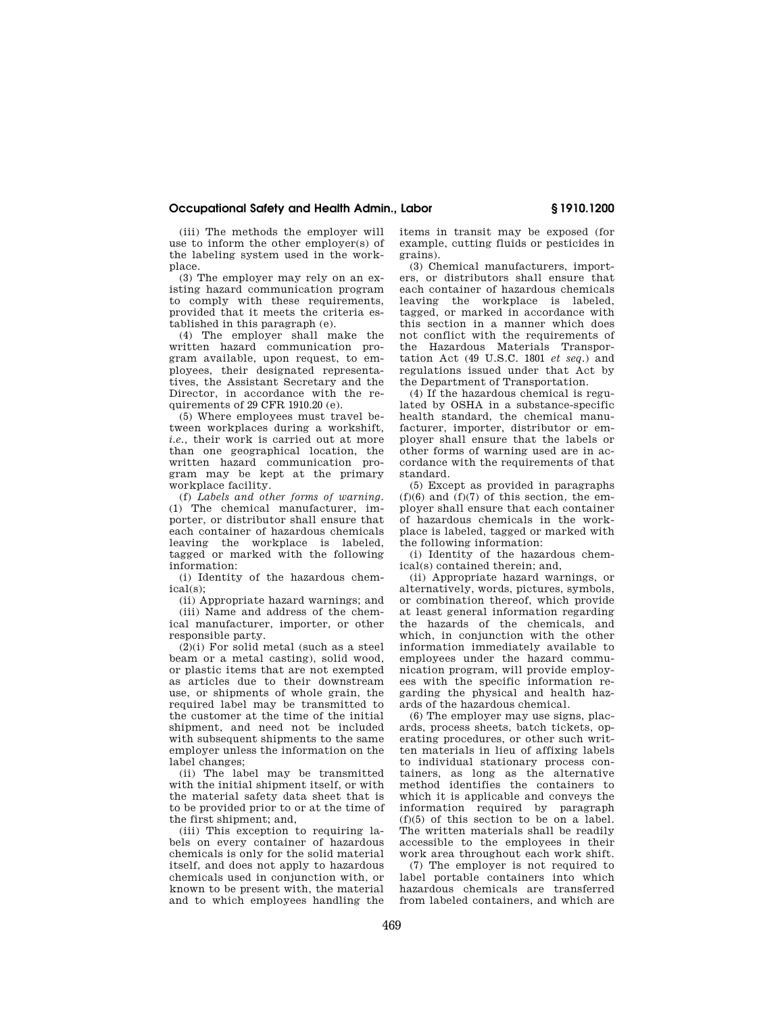(iii) The methods the employer will use to inform the other employer(s) of the labeling system used in the workplace.

(3) The employer may rely on an existing hazard communication program to comply with these requirements, provided that it meets the criteria established in this paragraph (e).

(4) The employer shall make the written hazard communication program available, upon request, to employees, their designated representatives, the Assistant Secretary and the Director, in accordance with the requirements of 29 CFR 1910.20 (e).

(5) Where employees must travel between workplaces during a workshift, *i.e.,* their work is carried out at more than one geographical location, the written hazard communication program may be kept at the primary workplace facility.

(f) *Labels and other forms of warning.*  (1) The chemical manufacturer, importer, or distributor shall ensure that each container of hazardous chemicals leaving the workplace is labeled, tagged or marked with the following information:

(i) Identity of the hazardous chem $i$ cal(s);

(ii) Appropriate hazard warnings; and (iii) Name and address of the chemical manufacturer, importer, or other responsible party.

 $(2)(i)$  For solid metal (such as a steel beam or a metal casting), solid wood, or plastic items that are not exempted as articles due to their downstream use, or shipments of whole grain, the required label may be transmitted to the customer at the time of the initial shipment, and need not be included with subsequent shipments to the same employer unless the information on the label changes;

(ii) The label may be transmitted with the initial shipment itself, or with the material safety data sheet that is to be provided prior to or at the time of the first shipment; and,

(iii) This exception to requiring labels on every container of hazardous chemicals is only for the solid material itself, and does not apply to hazardous chemicals used in conjunction with, or known to be present with, the material and to which employees handling the items in transit may be exposed (for example, cutting fluids or pesticides in grains).

(3) Chemical manufacturers, importers, or distributors shall ensure that each container of hazardous chemicals leaving the workplace is labeled, tagged, or marked in accordance with this section in a manner which does not conflict with the requirements of the Hazardous Materials Transportation Act (49 U.S.C. 1801 *et seq.*) and regulations issued under that Act by the Department of Transportation.

(4) If the hazardous chemical is regulated by OSHA in a substance-specific health standard, the chemical manufacturer, importer, distributor or employer shall ensure that the labels or other forms of warning used are in accordance with the requirements of that standard.

(5) Except as provided in paragraphs  $(f)(6)$  and  $(f)(7)$  of this section, the employer shall ensure that each container of hazardous chemicals in the workplace is labeled, tagged or marked with the following information:

(i) Identity of the hazardous chemical(s) contained therein; and,

(ii) Appropriate hazard warnings, or alternatively, words, pictures, symbols, or combination thereof, which provide at least general information regarding the hazards of the chemicals, and which, in conjunction with the other information immediately available to employees under the hazard communication program, will provide employees with the specific information regarding the physical and health hazards of the hazardous chemical.

(6) The employer may use signs, placards, process sheets, batch tickets, operating procedures, or other such written materials in lieu of affixing labels to individual stationary process containers, as long as the alternative method identifies the containers to which it is applicable and conveys the information required by paragraph (f)(5) of this section to be on a label. The written materials shall be readily accessible to the employees in their work area throughout each work shift.

(7) The employer is not required to label portable containers into which hazardous chemicals are transferred from labeled containers, and which are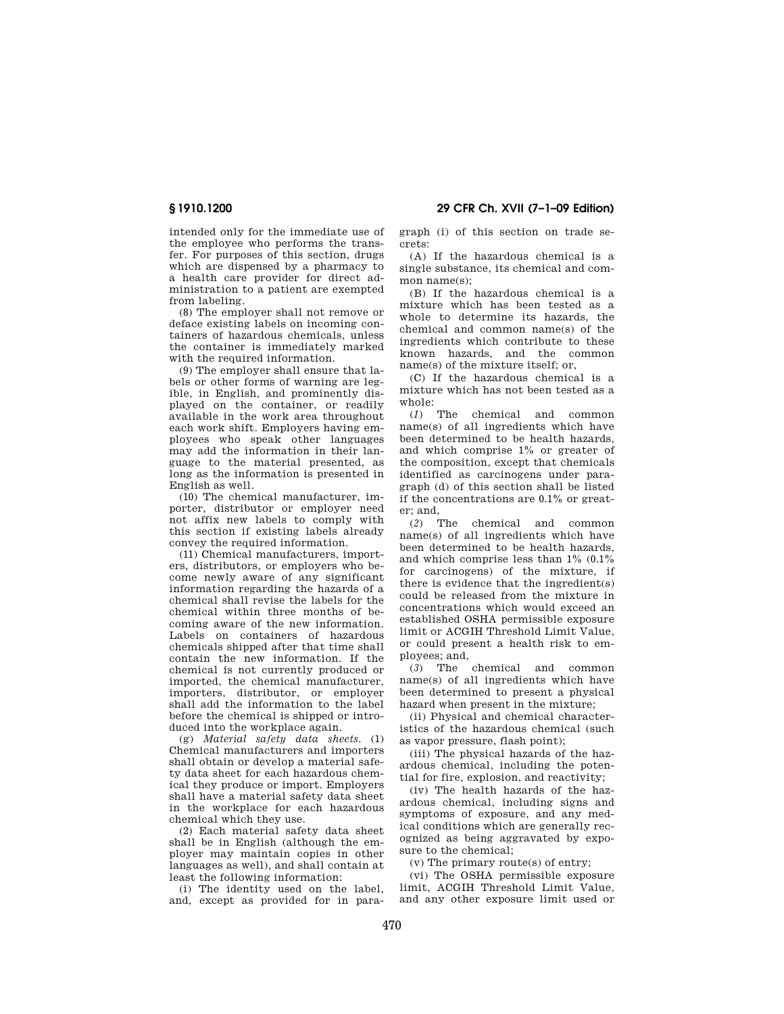intended only for the immediate use of the employee who performs the transfer. For purposes of this section, drugs which are dispensed by a pharmacy to a health care provider for direct administration to a patient are exempted from labeling.

(8) The employer shall not remove or deface existing labels on incoming containers of hazardous chemicals, unless the container is immediately marked with the required information.

(9) The employer shall ensure that labels or other forms of warning are legible, in English, and prominently displayed on the container, or readily available in the work area throughout each work shift. Employers having employees who speak other languages may add the information in their language to the material presented, as long as the information is presented in English as well.

(10) The chemical manufacturer, importer, distributor or employer need not affix new labels to comply with this section if existing labels already convey the required information.

(11) Chemical manufacturers, importers, distributors, or employers who become newly aware of any significant information regarding the hazards of a chemical shall revise the labels for the chemical within three months of becoming aware of the new information. Labels on containers of hazardous chemicals shipped after that time shall contain the new information. If the chemical is not currently produced or imported, the chemical manufacturer, importers, distributor, or employer shall add the information to the label before the chemical is shipped or introduced into the workplace again.

(g) *Material safety data sheets.* (1) Chemical manufacturers and importers shall obtain or develop a material safety data sheet for each hazardous chemical they produce or import. Employers shall have a material safety data sheet in the workplace for each hazardous chemical which they use.

(2) Each material safety data sheet shall be in English (although the employer may maintain copies in other languages as well), and shall contain at least the following information:

(i) The identity used on the label, and, except as provided for in paragraph (i) of this section on trade secrets:

(A) If the hazardous chemical is a single substance, its chemical and common name(s):

(B) If the hazardous chemical is a mixture which has been tested as a whole to determine its hazards, the chemical and common name(s) of the ingredients which contribute to these known hazards, and the common name(s) of the mixture itself; or,

(C) If the hazardous chemical is a mixture which has not been tested as a whole:

(*1*) The chemical and common name(s) of all ingredients which have been determined to be health hazards, and which comprise 1% or greater of the composition, except that chemicals identified as carcinogens under paragraph (d) of this section shall be listed if the concentrations are 0.1% or greater; and,

(*2*) The chemical and common name(s) of all ingredients which have been determined to be health hazards, and which comprise less than  $1\%$  (0.1%) for carcinogens) of the mixture, if there is evidence that the ingredient(s) could be released from the mixture in concentrations which would exceed an established OSHA permissible exposure limit or ACGIH Threshold Limit Value, or could present a health risk to employees; and,

(*3*) The chemical and common name(s) of all ingredients which have been determined to present a physical hazard when present in the mixture;

(ii) Physical and chemical characteristics of the hazardous chemical (such as vapor pressure, flash point);

(iii) The physical hazards of the hazardous chemical, including the potential for fire, explosion, and reactivity;

(iv) The health hazards of the hazardous chemical, including signs and symptoms of exposure, and any medical conditions which are generally recognized as being aggravated by exposure to the chemical;

(v) The primary route(s) of entry;

(vi) The OSHA permissible exposure limit, ACGIH Threshold Limit Value, and any other exposure limit used or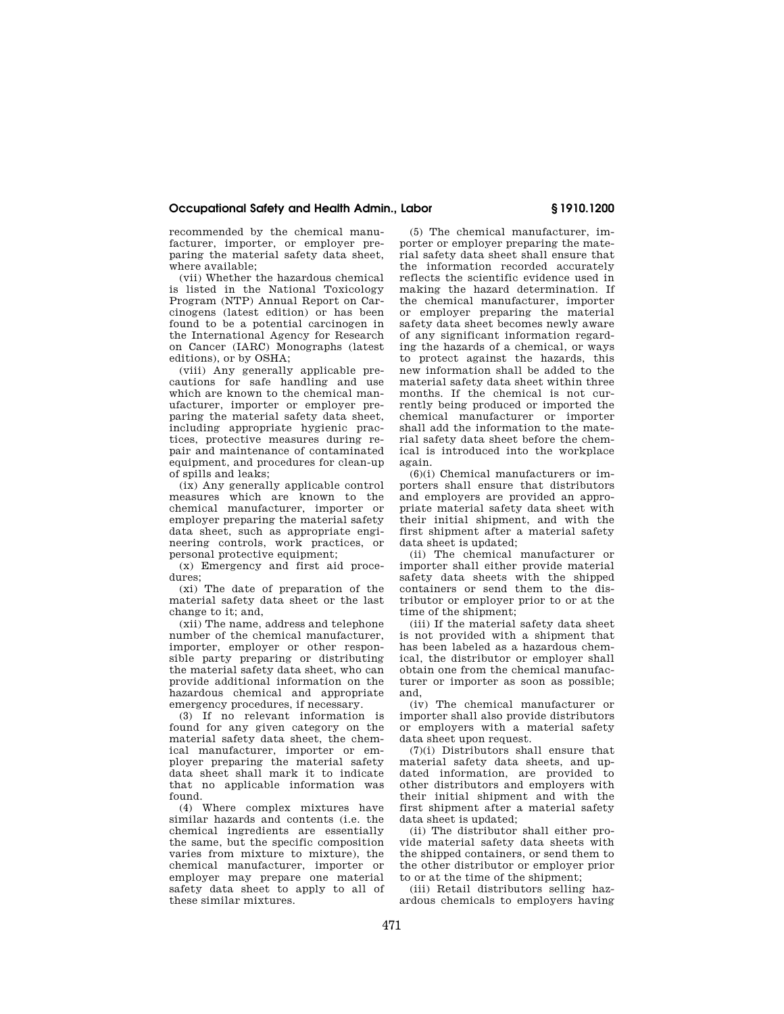recommended by the chemical manufacturer, importer, or employer preparing the material safety data sheet, where available;

(vii) Whether the hazardous chemical is listed in the National Toxicology Program (NTP) Annual Report on Carcinogens (latest edition) or has been found to be a potential carcinogen in the International Agency for Research on Cancer (IARC) Monographs (latest editions), or by OSHA;

(viii) Any generally applicable precautions for safe handling and use which are known to the chemical manufacturer, importer or employer preparing the material safety data sheet, including appropriate hygienic practices, protective measures during repair and maintenance of contaminated equipment, and procedures for clean-up of spills and leaks;

(ix) Any generally applicable control measures which are known to the chemical manufacturer, importer or employer preparing the material safety data sheet, such as appropriate engineering controls, work practices, or personal protective equipment;

(x) Emergency and first aid procedures;

(xi) The date of preparation of the material safety data sheet or the last change to it; and,

(xii) The name, address and telephone number of the chemical manufacturer, importer, employer or other responsible party preparing or distributing the material safety data sheet, who can provide additional information on the hazardous chemical and appropriate emergency procedures, if necessary.

(3) If no relevant information is found for any given category on the material safety data sheet, the chemical manufacturer, importer or employer preparing the material safety data sheet shall mark it to indicate that no applicable information was found.

(4) Where complex mixtures have similar hazards and contents (i.e. the chemical ingredients are essentially the same, but the specific composition varies from mixture to mixture), the chemical manufacturer, importer or employer may prepare one material safety data sheet to apply to all of these similar mixtures.

(5) The chemical manufacturer, importer or employer preparing the material safety data sheet shall ensure that the information recorded accurately reflects the scientific evidence used in making the hazard determination. If the chemical manufacturer, importer or employer preparing the material safety data sheet becomes newly aware of any significant information regarding the hazards of a chemical, or ways to protect against the hazards, this new information shall be added to the material safety data sheet within three months. If the chemical is not currently being produced or imported the chemical manufacturer or importer shall add the information to the material safety data sheet before the chemical is introduced into the workplace again.

 $(6)(i)$  Chemical manufacturers or importers shall ensure that distributors and employers are provided an appropriate material safety data sheet with their initial shipment, and with the first shipment after a material safety data sheet is updated;

(ii) The chemical manufacturer or importer shall either provide material safety data sheets with the shipped containers or send them to the distributor or employer prior to or at the time of the shipment;

(iii) If the material safety data sheet is not provided with a shipment that has been labeled as a hazardous chemical, the distributor or employer shall obtain one from the chemical manufacturer or importer as soon as possible; and,

(iv) The chemical manufacturer or importer shall also provide distributors or employers with a material safety data sheet upon request.

(7)(i) Distributors shall ensure that material safety data sheets, and updated information, are provided to other distributors and employers with their initial shipment and with the first shipment after a material safety data sheet is updated;

(ii) The distributor shall either provide material safety data sheets with the shipped containers, or send them to the other distributor or employer prior to or at the time of the shipment;

(iii) Retail distributors selling hazardous chemicals to employers having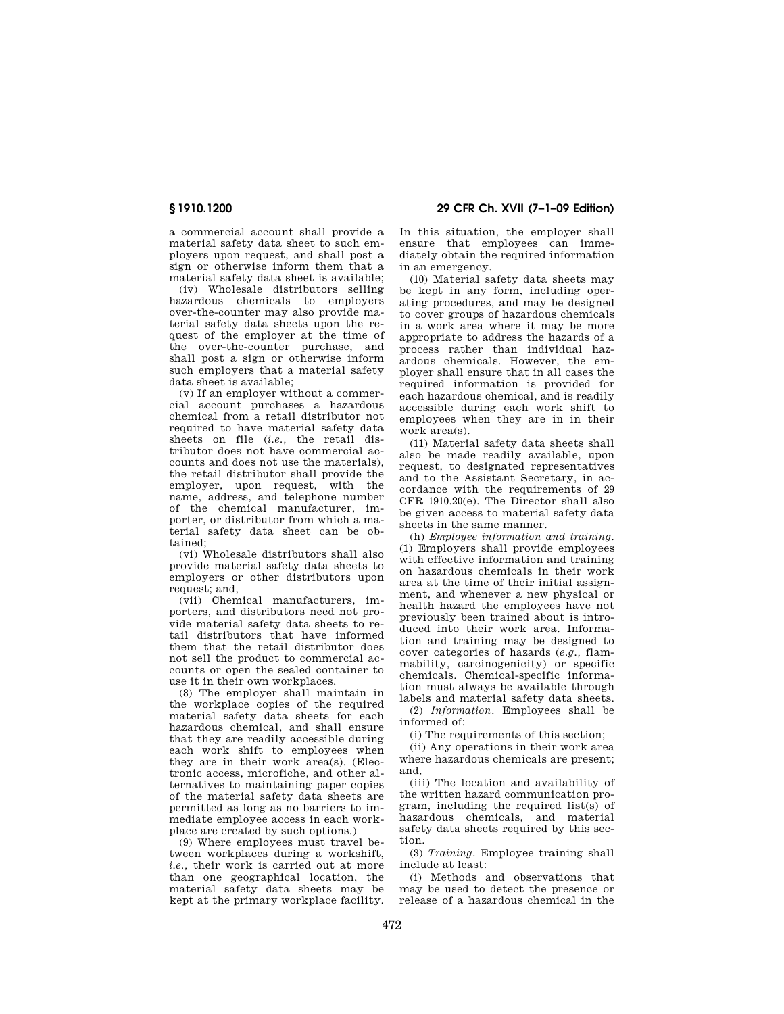a commercial account shall provide a material safety data sheet to such employers upon request, and shall post a sign or otherwise inform them that a material safety data sheet is available;

(iv) Wholesale distributors selling hazardous chemicals to employers over-the-counter may also provide material safety data sheets upon the request of the employer at the time of the over-the-counter purchase, and shall post a sign or otherwise inform such employers that a material safety data sheet is available;

(v) If an employer without a commercial account purchases a hazardous chemical from a retail distributor not required to have material safety data sheets on file (*i.e.,* the retail distributor does not have commercial accounts and does not use the materials), the retail distributor shall provide the employer, upon request, with the name, address, and telephone number of the chemical manufacturer, importer, or distributor from which a material safety data sheet can be obtained;

(vi) Wholesale distributors shall also provide material safety data sheets to employers or other distributors upon request; and,

(vii) Chemical manufacturers, importers, and distributors need not provide material safety data sheets to retail distributors that have informed them that the retail distributor does not sell the product to commercial accounts or open the sealed container to use it in their own workplaces.

(8) The employer shall maintain in the workplace copies of the required material safety data sheets for each hazardous chemical, and shall ensure that they are readily accessible during each work shift to employees when they are in their work area(s). (Electronic access, microfiche, and other alternatives to maintaining paper copies of the material safety data sheets are permitted as long as no barriers to immediate employee access in each workplace are created by such options.)

(9) Where employees must travel between workplaces during a workshift, *i.e.,* their work is carried out at more than one geographical location, the material safety data sheets may be kept at the primary workplace facility.

**§ 1910.1200 29 CFR Ch. XVII (7–1–09 Edition)** 

In this situation, the employer shall ensure that employees can immediately obtain the required information in an emergency.

(10) Material safety data sheets may be kept in any form, including operating procedures, and may be designed to cover groups of hazardous chemicals in a work area where it may be more appropriate to address the hazards of a process rather than individual hazardous chemicals. However, the employer shall ensure that in all cases the required information is provided for each hazardous chemical, and is readily accessible during each work shift to employees when they are in in their work area(s).

(11) Material safety data sheets shall also be made readily available, upon request, to designated representatives and to the Assistant Secretary, in accordance with the requirements of 29 CFR 1910.20(e). The Director shall also be given access to material safety data sheets in the same manner.

(h) *Employee information and training.*  (1) Employers shall provide employees with effective information and training on hazardous chemicals in their work area at the time of their initial assignment, and whenever a new physical or health hazard the employees have not previously been trained about is introduced into their work area. Information and training may be designed to cover categories of hazards (*e.g.,* flammability, carcinogenicity) or specific chemicals. Chemical-specific information must always be available through labels and material safety data sheets.

(2) *Information.* Employees shall be informed of:

(i) The requirements of this section;

(ii) Any operations in their work area where hazardous chemicals are present; and,

(iii) The location and availability of the written hazard communication program, including the required list(s) of hazardous chemicals, and material safety data sheets required by this section.

(3) *Training.* Employee training shall include at least:

(i) Methods and observations that may be used to detect the presence or release of a hazardous chemical in the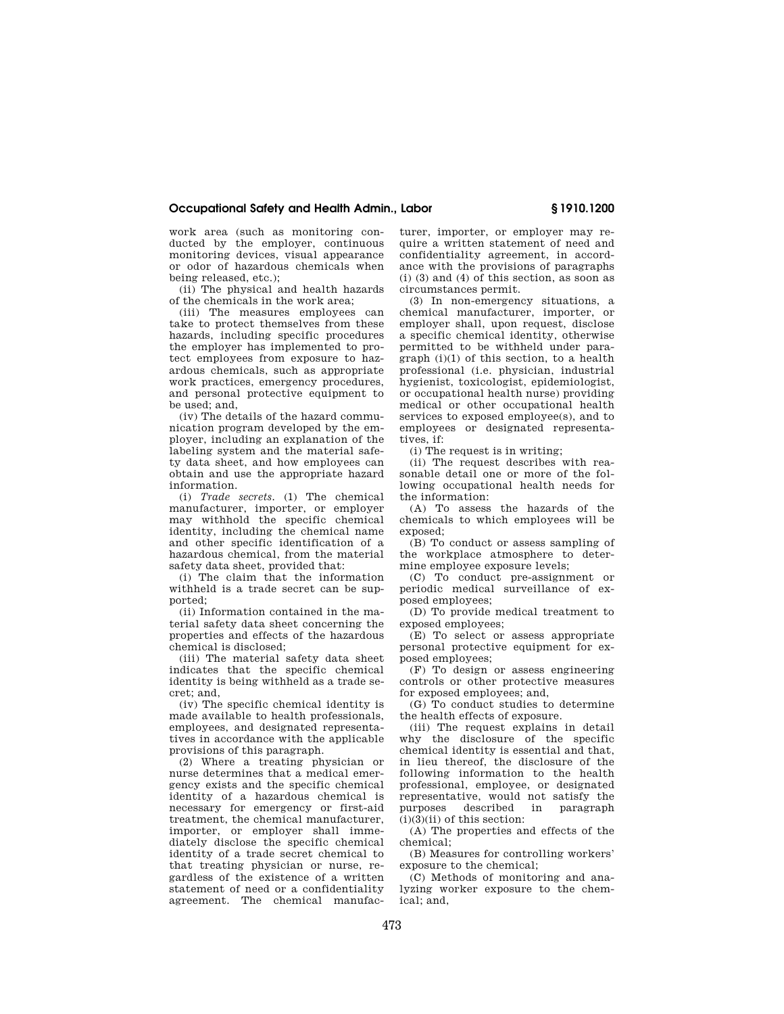work area (such as monitoring conducted by the employer, continuous monitoring devices, visual appearance or odor of hazardous chemicals when being released, etc.);

(ii) The physical and health hazards of the chemicals in the work area;

(iii) The measures employees can take to protect themselves from these hazards, including specific procedures the employer has implemented to protect employees from exposure to hazardous chemicals, such as appropriate work practices, emergency procedures, and personal protective equipment to be used; and,

(iv) The details of the hazard communication program developed by the employer, including an explanation of the labeling system and the material safety data sheet, and how employees can obtain and use the appropriate hazard information.

(i) *Trade secrets.* (1) The chemical manufacturer, importer, or employer may withhold the specific chemical identity, including the chemical name and other specific identification of a hazardous chemical, from the material safety data sheet, provided that:

(i) The claim that the information withheld is a trade secret can be supported;

(ii) Information contained in the material safety data sheet concerning the properties and effects of the hazardous chemical is disclosed;

(iii) The material safety data sheet indicates that the specific chemical identity is being withheld as a trade secret; and,

(iv) The specific chemical identity is made available to health professionals, employees, and designated representatives in accordance with the applicable provisions of this paragraph.

(2) Where a treating physician or nurse determines that a medical emergency exists and the specific chemical identity of a hazardous chemical is necessary for emergency or first-aid treatment, the chemical manufacturer, importer, or employer shall immediately disclose the specific chemical identity of a trade secret chemical to that treating physician or nurse, regardless of the existence of a written statement of need or a confidentiality agreement. The chemical manufacturer, importer, or employer may require a written statement of need and confidentiality agreement, in accordance with the provisions of paragraphs (i) (3) and (4) of this section, as soon as circumstances permit.

(3) In non-emergency situations, a chemical manufacturer, importer, or employer shall, upon request, disclose a specific chemical identity, otherwise permitted to be withheld under paragraph (i)(1) of this section, to a health professional (i.e. physician, industrial hygienist, toxicologist, epidemiologist, or occupational health nurse) providing medical or other occupational health services to exposed employee(s), and to employees or designated representatives, if:

(i) The request is in writing;

(ii) The request describes with reasonable detail one or more of the following occupational health needs for the information:

(A) To assess the hazards of the chemicals to which employees will be exposed;

(B) To conduct or assess sampling of the workplace atmosphere to determine employee exposure levels;

(C) To conduct pre-assignment or periodic medical surveillance of exposed employees;

(D) To provide medical treatment to exposed employees;

(E) To select or assess appropriate personal protective equipment for exposed employees;

(F) To design or assess engineering controls or other protective measures for exposed employees; and,

(G) To conduct studies to determine the health effects of exposure.

(iii) The request explains in detail why the disclosure of the specific chemical identity is essential and that, in lieu thereof, the disclosure of the following information to the health professional, employee, or designated representative, would not satisfy the<br>purposes described in paragraph purposes described  $(i)(3)(ii)$  of this section:

(A) The properties and effects of the chemical;

(B) Measures for controlling workers' exposure to the chemical;

(C) Methods of monitoring and analyzing worker exposure to the chemical; and,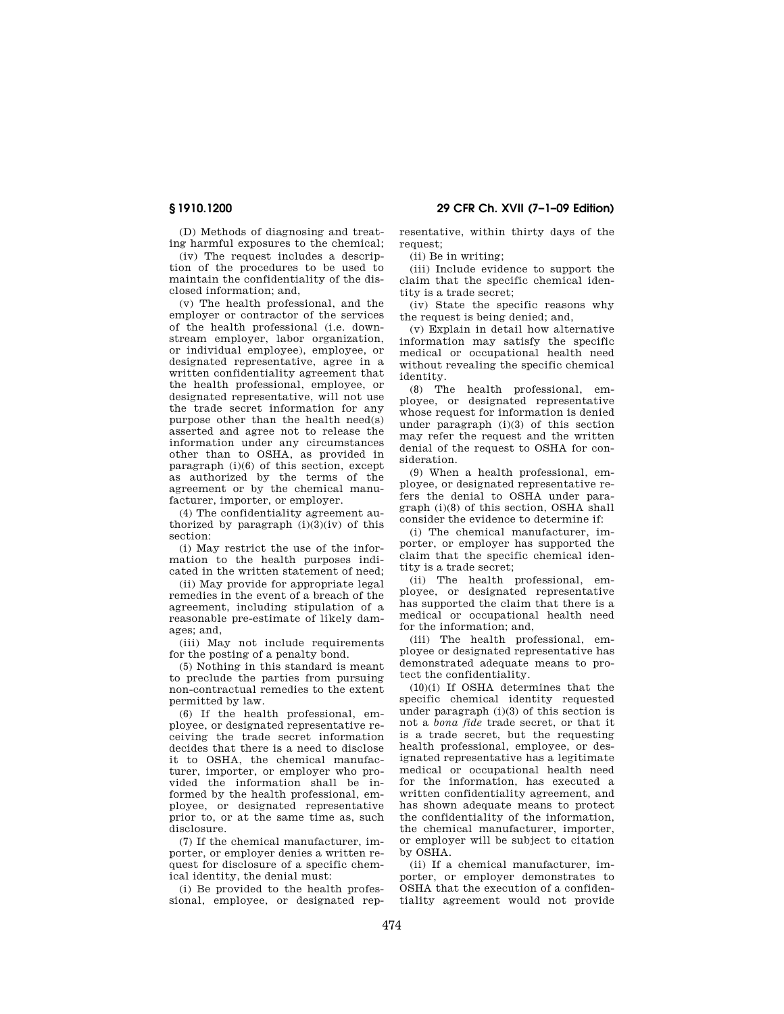**§ 1910.1200 29 CFR Ch. XVII (7–1–09 Edition)** 

(D) Methods of diagnosing and treating harmful exposures to the chemical;

(iv) The request includes a description of the procedures to be used to maintain the confidentiality of the disclosed information; and,

(v) The health professional, and the employer or contractor of the services of the health professional (i.e. downstream employer, labor organization, or individual employee), employee, or designated representative, agree in a written confidentiality agreement that the health professional, employee, or designated representative, will not use the trade secret information for any purpose other than the health need(s) asserted and agree not to release the information under any circumstances other than to OSHA, as provided in paragraph (i)(6) of this section, except as authorized by the terms of the agreement or by the chemical manufacturer, importer, or employer.

(4) The confidentiality agreement authorized by paragraph  $(i)(3)(iv)$  of this section:

(i) May restrict the use of the information to the health purposes indicated in the written statement of need;

(ii) May provide for appropriate legal remedies in the event of a breach of the agreement, including stipulation of a reasonable pre-estimate of likely damages; and,

(iii) May not include requirements for the posting of a penalty bond.

(5) Nothing in this standard is meant to preclude the parties from pursuing non-contractual remedies to the extent permitted by law.

(6) If the health professional, employee, or designated representative receiving the trade secret information decides that there is a need to disclose it to OSHA, the chemical manufacturer, importer, or employer who provided the information shall be informed by the health professional, employee, or designated representative prior to, or at the same time as, such disclosure.

(7) If the chemical manufacturer, importer, or employer denies a written request for disclosure of a specific chemical identity, the denial must:

(i) Be provided to the health professional, employee, or designated representative, within thirty days of the request;

(ii) Be in writing;

(iii) Include evidence to support the claim that the specific chemical identity is a trade secret;

(iv) State the specific reasons why the request is being denied; and,

(v) Explain in detail how alternative information may satisfy the specific medical or occupational health need without revealing the specific chemical identity.

(8) The health professional, employee, or designated representative whose request for information is denied under paragraph  $(i)(3)$  of this section may refer the request and the written denial of the request to OSHA for consideration.

(9) When a health professional, employee, or designated representative refers the denial to OSHA under paragraph (i)(8) of this section, OSHA shall consider the evidence to determine if:

(i) The chemical manufacturer, importer, or employer has supported the claim that the specific chemical identity is a trade secret;

(ii) The health professional, employee, or designated representative has supported the claim that there is a medical or occupational health need for the information; and,

(iii) The health professional, employee or designated representative has demonstrated adequate means to protect the confidentiality.

(10)(i) If OSHA determines that the specific chemical identity requested under paragraph  $(i)(3)$  of this section is not a *bona fide* trade secret, or that it is a trade secret, but the requesting health professional, employee, or designated representative has a legitimate medical or occupational health need for the information, has executed a written confidentiality agreement, and has shown adequate means to protect the confidentiality of the information, the chemical manufacturer, importer, or employer will be subject to citation by OSHA.

(ii) If a chemical manufacturer, importer, or employer demonstrates to OSHA that the execution of a confidentiality agreement would not provide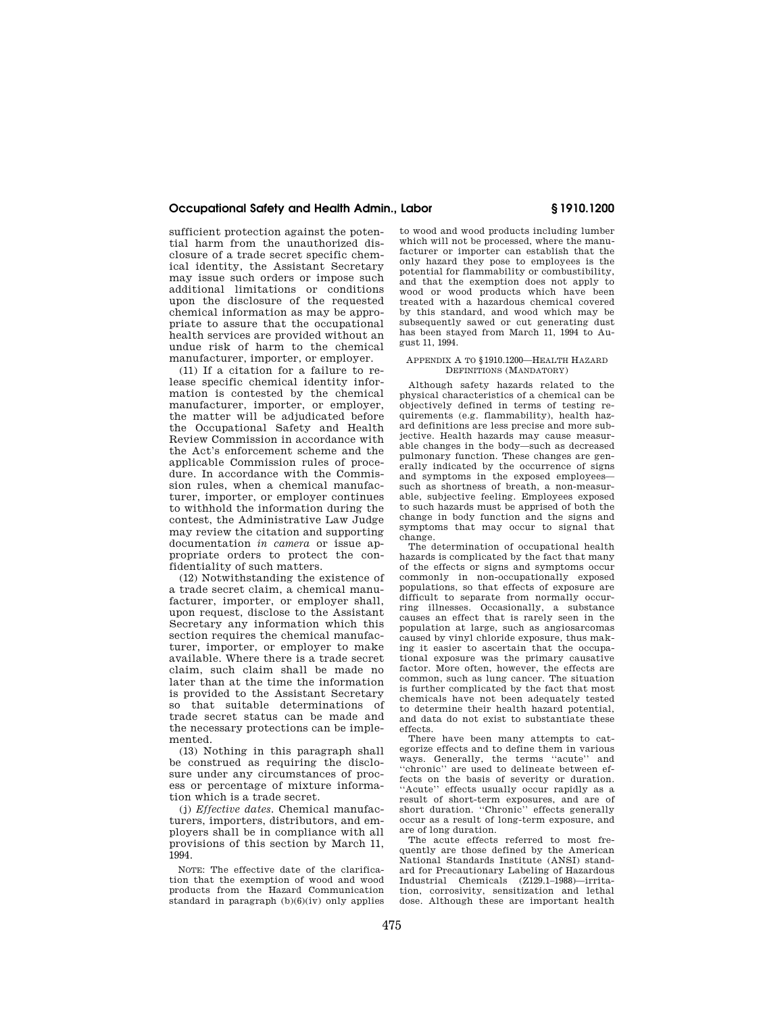sufficient protection against the potential harm from the unauthorized disclosure of a trade secret specific chemical identity, the Assistant Secretary may issue such orders or impose such additional limitations or conditions upon the disclosure of the requested chemical information as may be appropriate to assure that the occupational health services are provided without an undue risk of harm to the chemical manufacturer, importer, or employer.

(11) If a citation for a failure to release specific chemical identity information is contested by the chemical manufacturer, importer, or employer, the matter will be adjudicated before the Occupational Safety and Health Review Commission in accordance with the Act's enforcement scheme and the applicable Commission rules of procedure. In accordance with the Commission rules, when a chemical manufacturer, importer, or employer continues to withhold the information during the contest, the Administrative Law Judge may review the citation and supporting documentation *in camera* or issue appropriate orders to protect the confidentiality of such matters.

(12) Notwithstanding the existence of a trade secret claim, a chemical manufacturer, importer, or employer shall, upon request, disclose to the Assistant Secretary any information which this section requires the chemical manufacturer, importer, or employer to make available. Where there is a trade secret claim, such claim shall be made no later than at the time the information is provided to the Assistant Secretary so that suitable determinations of trade secret status can be made and the necessary protections can be implemented.

(13) Nothing in this paragraph shall be construed as requiring the disclosure under any circumstances of process or percentage of mixture information which is a trade secret.

(j) *Effective dates.* Chemical manufacturers, importers, distributors, and employers shall be in compliance with all provisions of this section by March 11, 1994.

NOTE: The effective date of the clarification that the exemption of wood and wood products from the Hazard Communication standard in paragraph  $(b)(6)(iv)$  only applies

to wood and wood products including lumber which will not be processed, where the manufacturer or importer can establish that the only hazard they pose to employees is the potential for flammability or combustibility, and that the exemption does not apply to wood or wood products which have been treated with a hazardous chemical covered by this standard, and wood which may be subsequently sawed or cut generating dust has been stayed from March 11, 1994 to August 11, 1994.

## APPENDIX A TO §1910.1200—HEALTH HAZARD DEFINITIONS (MANDATORY)

Although safety hazards related to the physical characteristics of a chemical can be objectively defined in terms of testing requirements (e.g. flammability), health hazard definitions are less precise and more subjective. Health hazards may cause measurable changes in the body—such as decreased pulmonary function. These changes are generally indicated by the occurrence of signs and symptoms in the exposed employees such as shortness of breath, a non-measurable, subjective feeling. Employees exposed to such hazards must be apprised of both the change in body function and the signs and symptoms that may occur to signal that change.

The determination of occupational health hazards is complicated by the fact that many of the effects or signs and symptoms occur commonly in non-occupationally exposed populations, so that effects of exposure are difficult to separate from normally occurring illnesses. Occasionally, a substance causes an effect that is rarely seen in the population at large, such as angiosarcomas caused by vinyl chloride exposure, thus making it easier to ascertain that the occupational exposure was the primary causative factor. More often, however, the effects are common, such as lung cancer. The situation is further complicated by the fact that most chemicals have not been adequately tested to determine their health hazard potential, and data do not exist to substantiate these effects.

There have been many attempts to categorize effects and to define them in various ways. Generally, the terms ''acute'' and ''chronic'' are used to delineate between effects on the basis of severity or duration. "Acute" effects usually occur rapidly as a result of short-term exposures, and are of short duration. ''Chronic'' effects generally occur as a result of long-term exposure, and are of long duration.

The acute effects referred to most frequently are those defined by the American National Standards Institute (ANSI) standard for Precautionary Labeling of Hazardous Industrial Chemicals (Z129.1–1988)—irritation, corrosivity, sensitization and lethal dose. Although these are important health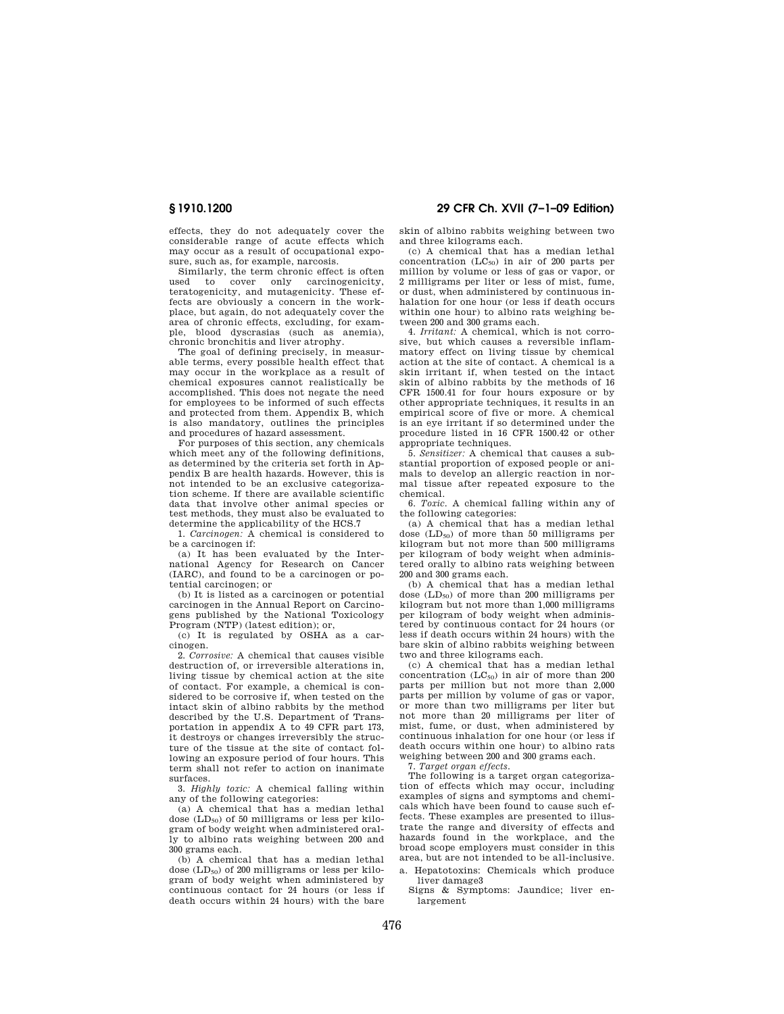effects, they do not adequately cover the considerable range of acute effects which may occur as a result of occupational exposure, such as, for example, narcosis.

Similarly, the term chronic effect is often used to cover only carcinogenicity, teratogenicity, and mutagenicity. These effects are obviously a concern in the workplace, but again, do not adequately cover the area of chronic effects, excluding, for example, blood dyscrasias (such as anemia), chronic bronchitis and liver atrophy.

The goal of defining precisely, in measurable terms, every possible health effect that may occur in the workplace as a result of chemical exposures cannot realistically be accomplished. This does not negate the need for employees to be informed of such effects and protected from them. Appendix B, which is also mandatory, outlines the principles and procedures of hazard assessment.

For purposes of this section, any chemicals which meet any of the following definitions, as determined by the criteria set forth in Appendix B are health hazards. However, this is not intended to be an exclusive categorization scheme. If there are available scientific data that involve other animal species or test methods, they must also be evaluated to determine the applicability of the HCS.7

1. *Carcinogen:* A chemical is considered to be a carcinogen if:

(a) It has been evaluated by the International Agency for Research on Cancer (IARC), and found to be a carcinogen or potential carcinogen; or

(b) It is listed as a carcinogen or potential carcinogen in the Annual Report on Carcinogens published by the National Toxicology Program (NTP) (latest edition); or,

(c) It is regulated by OSHA as a carcinogen.

2. *Corrosive:* A chemical that causes visible destruction of, or irreversible alterations in, living tissue by chemical action at the site of contact. For example, a chemical is considered to be corrosive if, when tested on the intact skin of albino rabbits by the method described by the U.S. Department of Transportation in appendix A to 49 CFR part 173, it destroys or changes irreversibly the structure of the tissue at the site of contact following an exposure period of four hours. This term shall not refer to action on inanimate surfaces.

3. *Highly toxic:* A chemical falling within any of the following categories:

(a) A chemical that has a median lethal dose  $(LD_{50})$  of 50 milligrams or less per kilogram of body weight when administered orally to albino rats weighing between 200 and 300 grams each.

(b) A chemical that has a median lethal dose  $(LD_{50})$  of 200 milligrams or less per kilogram of body weight when administered by continuous contact for 24 hours (or less if death occurs within 24 hours) with the bare

**§ 1910.1200 29 CFR Ch. XVII (7–1–09 Edition)** 

skin of albino rabbits weighing between two and three kilograms each.

(c) A chemical that has a median lethal concentration  $(LC_{50})$  in air of 200 parts per million by volume or less of gas or vapor, or 2 milligrams per liter or less of mist, fume, or dust, when administered by continuous inhalation for one hour (or less if death occurs within one hour) to albino rats weighing between 200 and 300 grams each.

4. *Irritant:* A chemical, which is not corrosive, but which causes a reversible inflammatory effect on living tissue by chemical action at the site of contact. A chemical is a skin irritant if, when tested on the intact skin of albino rabbits by the methods of 16 CFR 1500.41 for four hours exposure or by other appropriate techniques, it results in an empirical score of five or more. A chemical is an eye irritant if so determined under the procedure listed in 16 CFR 1500.42 or other appropriate techniques.

5. *Sensitizer:* A chemical that causes a substantial proportion of exposed people or animals to develop an allergic reaction in normal tissue after repeated exposure to the chemical.

6. *Toxic.* A chemical falling within any of the following categories:

(a) A chemical that has a median lethal dose  $(LD_{50})$  of more than 50 milligrams per kilogram but not more than 500 milligrams per kilogram of body weight when administered orally to albino rats weighing between 200 and 300 grams each.

(b) A chemical that has a median lethal dose  $(LD_{50})$  of more than 200 milligrams per kilogram but not more than 1,000 milligrams per kilogram of body weight when administered by continuous contact for 24 hours (or less if death occurs within 24 hours) with the bare skin of albino rabbits weighing between two and three kilograms each.

(c) A chemical that has a median lethal concentration  $(LC_{50})$  in air of more than 200 parts per million but not more than 2,000 parts per million by volume of gas or vapor, or more than two milligrams per liter but not more than 20 milligrams per liter of mist, fume, or dust, when administered by continuous inhalation for one hour (or less if death occurs within one hour) to albino rats weighing between 200 and 300 grams each.

7. *Target organ effects.* 

The following is a target organ categorization of effects which may occur, including examples of signs and symptoms and chemicals which have been found to cause such effects. These examples are presented to illustrate the range and diversity of effects and hazards found in the workplace, and the broad scope employers must consider in this area, but are not intended to be all-inclusive.

- a. Hepatotoxins: Chemicals which produce liver damage3
	- Signs & Symptoms: Jaundice; liver enlargement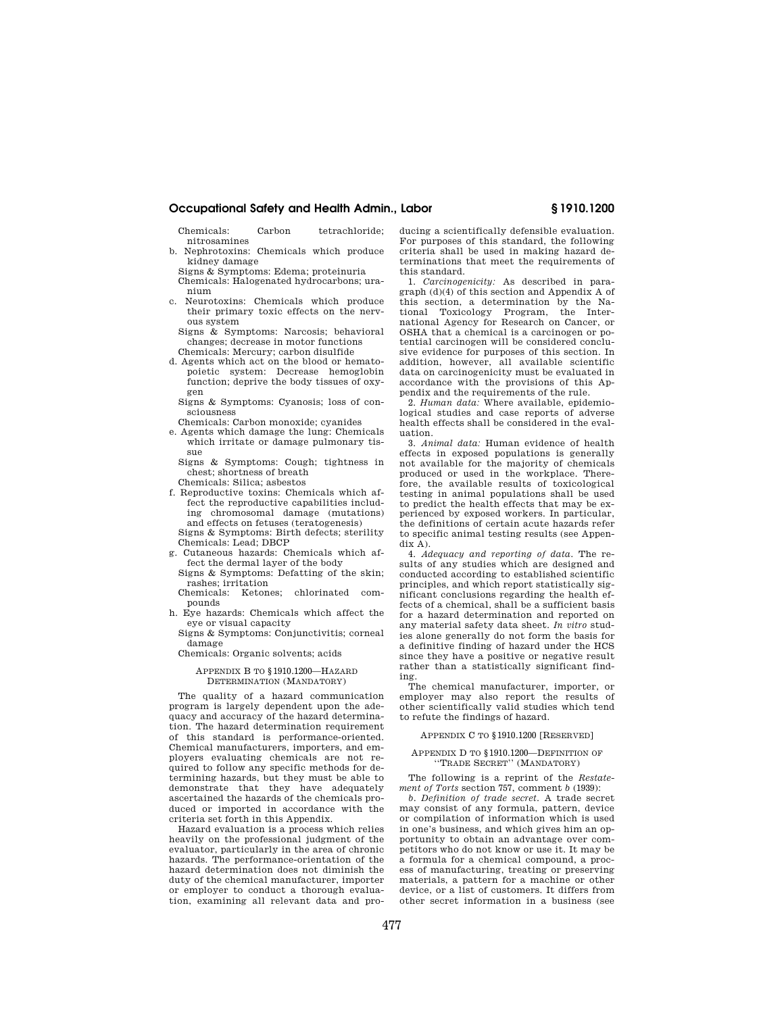Chemicals: Carbon tetrachloride; nitrosamines

b. Nephrotoxins: Chemicals which produce kidney damage

Signs & Symptoms: Edema; proteinuria Chemicals: Halogenated hydrocarbons; uranium

- c. Neurotoxins: Chemicals which produce their primary toxic effects on the nervous system
- Signs & Symptoms: Narcosis; behavioral changes; decrease in motor functions Chemicals: Mercury; carbon disulfide
- d. Agents which act on the blood or hematopoietic system: Decrease hemoglobin function; deprive the body tissues of oxygen
	- Signs & Symptoms: Cyanosis; loss of consciousness

Chemicals: Carbon monoxide; cyanides

- e. Agents which damage the lung: Chemicals which irritate or damage pulmonary tissue
- Signs & Symptoms: Cough; tightness in chest; shortness of breath Chemicals: Silica; asbestos
- f. Reproductive toxins: Chemicals which affect the reproductive capabilities including chromosomal damage (mutations)
- and effects on fetuses (teratogenesis) Signs & Symptoms: Birth defects; sterility Chemicals: Lead; DBCP
- g. Cutaneous hazards: Chemicals which affect the dermal layer of the body
- Signs & Symptoms: Defatting of the skin; rashes; irritation
- Chemicals: Ketones; chlorinated compounds
- h. Eye hazards: Chemicals which affect the eye or visual capacity

Signs & Symptoms: Conjunctivitis; corneal damage

Chemicals: Organic solvents; acids

## APPENDIX B TO §1910.1200—HAZARD DETERMINATION (MANDATORY)

The quality of a hazard communication program is largely dependent upon the adequacy and accuracy of the hazard determination. The hazard determination requirement of this standard is performance-oriented. Chemical manufacturers, importers, and employers evaluating chemicals are not required to follow any specific methods for determining hazards, but they must be able to demonstrate that they have adequately ascertained the hazards of the chemicals produced or imported in accordance with the criteria set forth in this Appendix.

Hazard evaluation is a process which relies heavily on the professional judgment of the evaluator, particularly in the area of chronic hazards. The performance-orientation of the hazard determination does not diminish the duty of the chemical manufacturer, importer or employer to conduct a thorough evaluation, examining all relevant data and producing a scientifically defensible evaluation. For purposes of this standard, the following criteria shall be used in making hazard determinations that meet the requirements of this standard.

1. *Carcinogenicity:* As described in paragraph (d)(4) of this section and Appendix A of this section, a determination by the National Toxicology Program, the International Agency for Research on Cancer, or OSHA that a chemical is a carcinogen or potential carcinogen will be considered conclusive evidence for purposes of this section. In addition, however, all available scientific data on carcinogenicity must be evaluated in accordance with the provisions of this Appendix and the requirements of the rule.

2. *Human data:* Where available, epidemiological studies and case reports of adverse health effects shall be considered in the evaluation.

3. *Animal data:* Human evidence of health effects in exposed populations is generally not available for the majority of chemicals produced or used in the workplace. Therefore, the available results of toxicological testing in animal populations shall be used to predict the health effects that may be experienced by exposed workers. In particular, the definitions of certain acute hazards refer to specific animal testing results (see Appendix A).

4. *Adequacy and reporting of data.* The results of any studies which are designed and conducted according to established scientific principles, and which report statistically significant conclusions regarding the health effects of a chemical, shall be a sufficient basis for a hazard determination and reported on any material safety data sheet. *In vitro* studies alone generally do not form the basis for a definitive finding of hazard under the HCS since they have a positive or negative result rather than a statistically significant finding.

The chemical manufacturer, importer, or employer may also report the results of other scientifically valid studies which tend to refute the findings of hazard.

### APPENDIX C TO §1910.1200 [RESERVED]

## APPENDIX D TO §1910.1200—DEFINITION OF ''TRADE SECRET'' (MANDATORY)

The following is a reprint of the *Restatement of Torts* section 757, comment *b* (1939):

*b. Definition of trade secret.* A trade secret may consist of any formula, pattern, device or compilation of information which is used in one's business, and which gives him an opportunity to obtain an advantage over competitors who do not know or use it. It may be a formula for a chemical compound, a process of manufacturing, treating or preserving materials, a pattern for a machine or other device, or a list of customers. It differs from other secret information in a business (see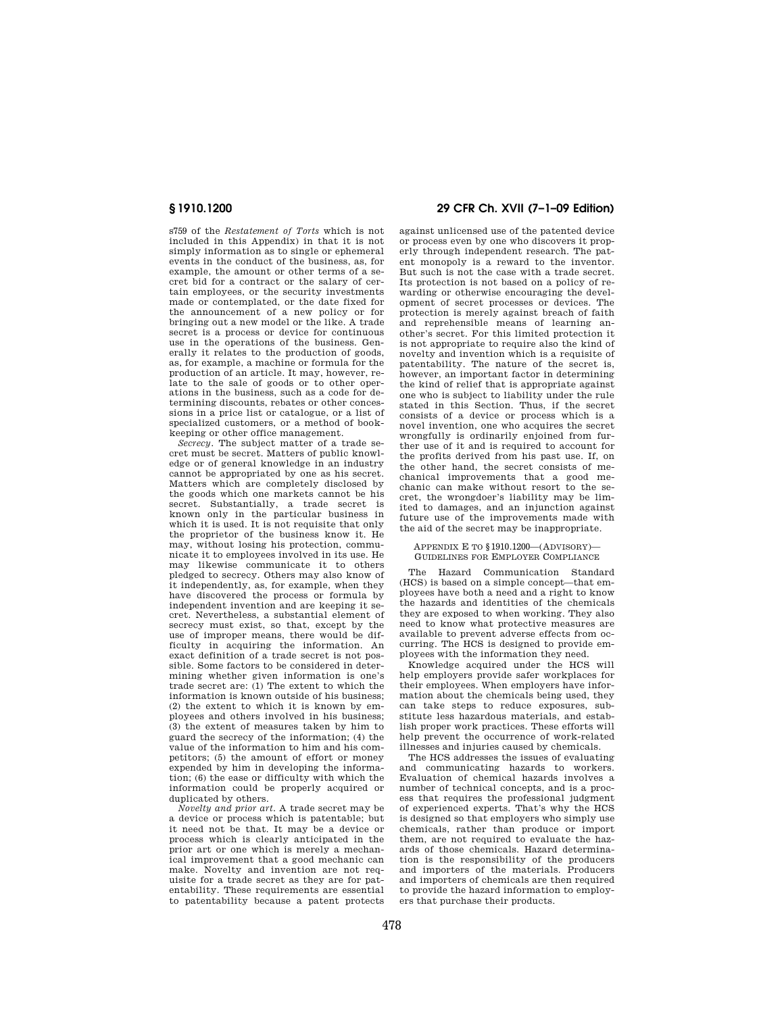s759 of the *Restatement of Torts* which is not included in this Appendix) in that it is not simply information as to single or ephemeral events in the conduct of the business, as, for example, the amount or other terms of a secret bid for a contract or the salary of certain employees, or the security investments made or contemplated, or the date fixed for the announcement of a new policy or for bringing out a new model or the like. A trade secret is a process or device for continuous use in the operations of the business. Generally it relates to the production of goods, as, for example, a machine or formula for the production of an article. It may, however, relate to the sale of goods or to other operations in the business, such as a code for determining discounts, rebates or other concessions in a price list or catalogue, or a list of specialized customers, or a method of bookkeeping or other office management.

*Secrecy.* The subject matter of a trade secret must be secret. Matters of public knowledge or of general knowledge in an industry cannot be appropriated by one as his secret. Matters which are completely disclosed by the goods which one markets cannot be his secret. Substantially, a trade secret is known only in the particular business in which it is used. It is not requisite that only the proprietor of the business know it. He may, without losing his protection, communicate it to employees involved in its use. He may likewise communicate it to others pledged to secrecy. Others may also know of it independently, as, for example, when they have discovered the process or formula by independent invention and are keeping it secret. Nevertheless, a substantial element of secrecy must exist, so that, except by the use of improper means, there would be difficulty in acquiring the information. An exact definition of a trade secret is not possible. Some factors to be considered in determining whether given information is one's trade secret are: (1) The extent to which the information is known outside of his business; (2) the extent to which it is known by employees and others involved in his business; (3) the extent of measures taken by him to guard the secrecy of the information; (4) the value of the information to him and his competitors; (5) the amount of effort or money expended by him in developing the information; (6) the ease or difficulty with which the information could be properly acquired or duplicated by others.

*Novelty and prior art.* A trade secret may be a device or process which is patentable; but it need not be that. It may be a device or process which is clearly anticipated in the prior art or one which is merely a mechanical improvement that a good mechanic can make. Novelty and invention are not requisite for a trade secret as they are for patentability. These requirements are essential to patentability because a patent protects

# **§ 1910.1200 29 CFR Ch. XVII (7–1–09 Edition)**

against unlicensed use of the patented device or process even by one who discovers it properly through independent research. The patent monopoly is a reward to the inventor. But such is not the case with a trade secret. Its protection is not based on a policy of rewarding or otherwise encouraging the development of secret processes or devices. The protection is merely against breach of faith and reprehensible means of learning another's secret. For this limited protection it is not appropriate to require also the kind of novelty and invention which is a requisite of patentability. The nature of the secret is, however, an important factor in determining the kind of relief that is appropriate against one who is subject to liability under the rule stated in this Section. Thus, if the secret consists of a device or process which is a novel invention, one who acquires the secret wrongfully is ordinarily enjoined from further use of it and is required to account for the profits derived from his past use. If, on the other hand, the secret consists of mechanical improvements that a good mechanic can make without resort to the secret, the wrongdoer's liability may be limited to damages, and an injunction against future use of the improvements made with the aid of the secret may be inappropriate.

## APPENDIX E TO §1910.1200—(ADVISORY)— GUIDELINES FOR EMPLOYER COMPLIANCE

The Hazard Communication Standard (HCS) is based on a simple concept—that employees have both a need and a right to know the hazards and identities of the chemicals they are exposed to when working. They also need to know what protective measures are available to prevent adverse effects from occurring. The HCS is designed to provide employees with the information they need.

Knowledge acquired under the HCS will help employers provide safer workplaces for their employees. When employers have information about the chemicals being used, they can take steps to reduce exposures, substitute less hazardous materials, and establish proper work practices. These efforts will help prevent the occurrence of work-related illnesses and injuries caused by chemicals.

The HCS addresses the issues of evaluating and communicating hazards to workers. Evaluation of chemical hazards involves a number of technical concepts, and is a process that requires the professional judgment of experienced experts. That's why the HCS is designed so that employers who simply use chemicals, rather than produce or import them, are not required to evaluate the hazards of those chemicals. Hazard determination is the responsibility of the producers and importers of the materials. Producers and importers of chemicals are then required to provide the hazard information to employers that purchase their products.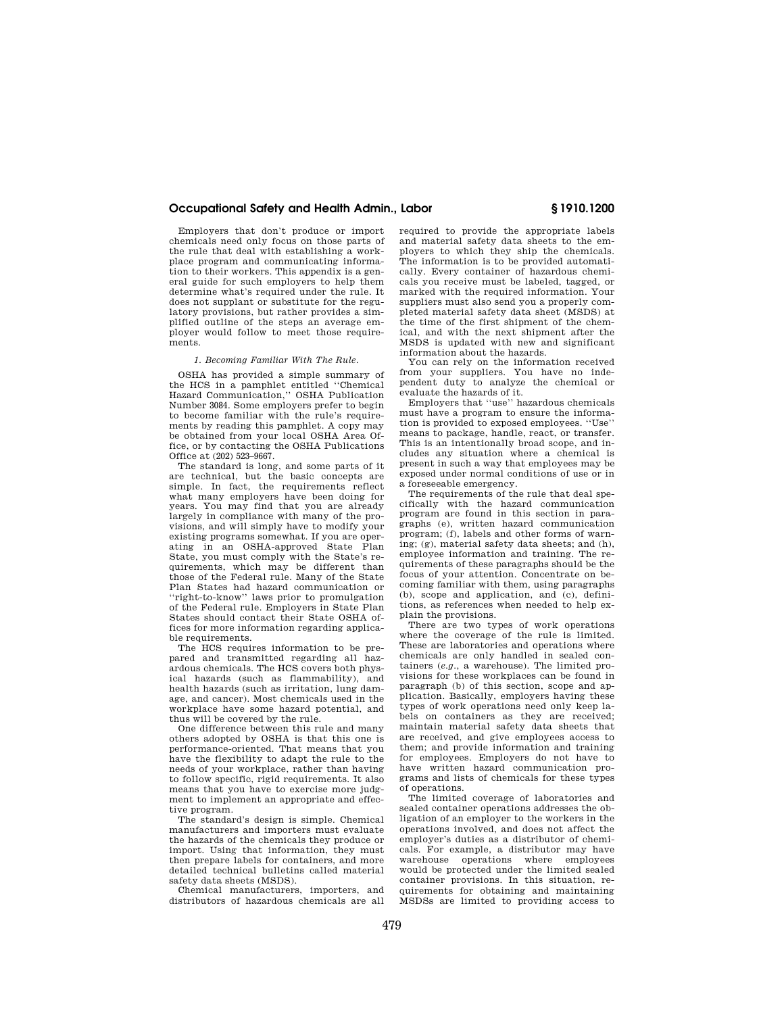Employers that don't produce or import chemicals need only focus on those parts of the rule that deal with establishing a workplace program and communicating information to their workers. This appendix is a general guide for such employers to help them determine what's required under the rule. It does not supplant or substitute for the regulatory provisions, but rather provides a simplified outline of the steps an average employer would follow to meet those requirements.

### *1. Becoming Familiar With The Rule.*

OSHA has provided a simple summary of the HCS in a pamphlet entitled ''Chemical Hazard Communication,'' OSHA Publication Number 3084. Some employers prefer to begin to become familiar with the rule's requirements by reading this pamphlet. A copy may be obtained from your local OSHA Area Office, or by contacting the OSHA Publications Office at (202) 523–9667.

The standard is long, and some parts of it are technical, but the basic concepts are simple. In fact, the requirements reflect what many employers have been doing for years. You may find that you are already largely in compliance with many of the provisions, and will simply have to modify your existing programs somewhat. If you are operating in an OSHA-approved State Plan State, you must comply with the State's requirements, which may be different than those of the Federal rule. Many of the State Plan States had hazard communication or ''right-to-know'' laws prior to promulgation of the Federal rule. Employers in State Plan States should contact their State OSHA offices for more information regarding applicable requirements.

The HCS requires information to be prepared and transmitted regarding all hazardous chemicals. The HCS covers both physical hazards (such as flammability), and health hazards (such as irritation, lung damage, and cancer). Most chemicals used in the workplace have some hazard potential, and thus will be covered by the rule.

One difference between this rule and many others adopted by OSHA is that this one is performance-oriented. That means that you have the flexibility to adapt the rule to the needs of your workplace, rather than having to follow specific, rigid requirements. It also means that you have to exercise more judgment to implement an appropriate and effective program.

The standard's design is simple. Chemical manufacturers and importers must evaluate the hazards of the chemicals they produce or import. Using that information, they must then prepare labels for containers, and more detailed technical bulletins called material safety data sheets (MSDS).

Chemical manufacturers, importers, and distributors of hazardous chemicals are all required to provide the appropriate labels and material safety data sheets to the employers to which they ship the chemicals. The information is to be provided automatically. Every container of hazardous chemicals you receive must be labeled, tagged, or marked with the required information. Your suppliers must also send you a properly completed material safety data sheet (MSDS) at the time of the first shipment of the chemical, and with the next shipment after the MSDS is updated with new and significant information about the hazards.

You can rely on the information received from your suppliers. You have no independent duty to analyze the chemical or evaluate the hazards of it.

Employers that ''use'' hazardous chemicals must have a program to ensure the information is provided to exposed employees. ''Use'' means to package, handle, react, or transfer. This is an intentionally broad scope, and includes any situation where a chemical is present in such a way that employees may be exposed under normal conditions of use or in a foreseeable emergency.

The requirements of the rule that deal specifically with the hazard communication program are found in this section in paragraphs (e), written hazard communication program; (f), labels and other forms of warning; (g), material safety data sheets; and (h), employee information and training. The requirements of these paragraphs should be the focus of your attention. Concentrate on becoming familiar with them, using paragraphs (b), scope and application, and (c), definitions, as references when needed to help explain the provisions.

There are two types of work operations where the coverage of the rule is limited. These are laboratories and operations where chemicals are only handled in sealed containers (*e.g*., a warehouse). The limited provisions for these workplaces can be found in paragraph (b) of this section, scope and application. Basically, employers having these types of work operations need only keep labels on containers as they are received; maintain material safety data sheets that are received, and give employees access to them; and provide information and training for employees. Employers do not have to have written hazard communication programs and lists of chemicals for these types of operations.

The limited coverage of laboratories and sealed container operations addresses the obligation of an employer to the workers in the operations involved, and does not affect the employer's duties as a distributor of chemicals. For example, a distributor may have warehouse operations where employees would be protected under the limited sealed container provisions. In this situation, requirements for obtaining and maintaining MSDSs are limited to providing access to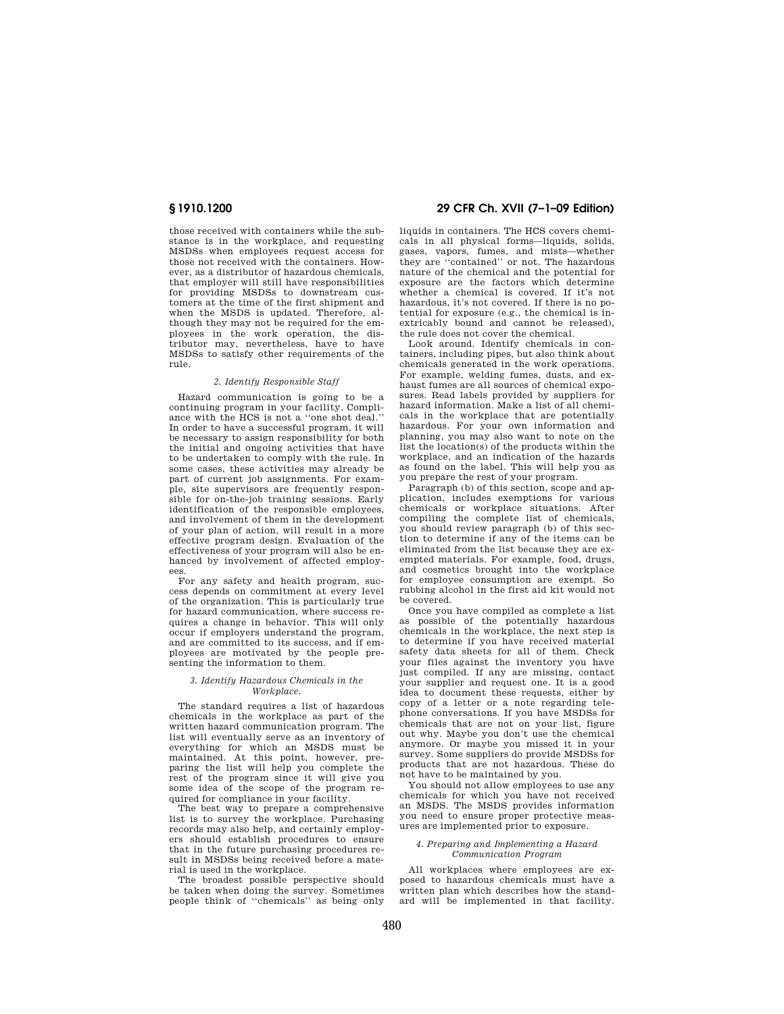those received with containers while the substance is in the workplace, and requesting MSDSs when employees request access for those not received with the containers. However, as a distributor of hazardous chemicals, that employer will still have responsibilities for providing MSDSs to downstream customers at the time of the first shipment and when the MSDS is updated. Therefore, although they may not be required for the employees in the work operation, the distributor may, nevertheless, have to have MSDSs to satisfy other requirements of the rule.

## *2. Identify Responsible Staff*

Hazard communication is going to be a continuing program in your facility. Compliance with the HCS is not a ''one shot deal.'' In order to have a successful program, it will be necessary to assign responsibility for both the initial and ongoing activities that have to be undertaken to comply with the rule. In some cases, these activities may already be part of current job assignments. For example, site supervisors are frequently responsible for on-the-job training sessions. Early identification of the responsible employees, and involvement of them in the development of your plan of action, will result in a more effective program design. Evaluation of the effectiveness of your program will also be enhanced by involvement of affected employees.

For any safety and health program, success depends on commitment at every level of the organization. This is particularly true for hazard communication, where success requires a change in behavior. This will only occur if employers understand the program, and are committed to its success, and if employees are motivated by the people presenting the information to them.

### *3. Identify Hazardous Chemicals in the Workplace.*

The standard requires a list of hazardous chemicals in the workplace as part of the written hazard communication program. The list will eventually serve as an inventory of everything for which an MSDS must be maintained. At this point, however, preparing the list will help you complete the rest of the program since it will give you some idea of the scope of the program required for compliance in your facility.

The best way to prepare a comprehensive list is to survey the workplace. Purchasing records may also help, and certainly employers should establish procedures to ensure that in the future purchasing procedures result in MSDSs being received before a material is used in the workplace.

The broadest possible perspective should be taken when doing the survey. Sometimes people think of ''chemicals'' as being only

# **§ 1910.1200 29 CFR Ch. XVII (7–1–09 Edition)**

liquids in containers. The HCS covers chemicals in all physical forms—liquids, solids, gases, vapors, fumes, and mists—whether they are ''contained'' or not. The hazardous nature of the chemical and the potential for exposure are the factors which determine whether a chemical is covered. If it's not hazardous, it's not covered. If there is no potential for exposure (e.g., the chemical is inextricably bound and cannot be released), the rule does not cover the chemical.

Look around. Identify chemicals in containers, including pipes, but also think about chemicals generated in the work operations. For example, welding fumes, dusts, and exhaust fumes are all sources of chemical exposures. Read labels provided by suppliers for hazard information. Make a list of all chemicals in the workplace that are potentially hazardous. For your own information and planning, you may also want to note on the list the location(s) of the products within the workplace, and an indication of the hazards as found on the label. This will help you as you prepare the rest of your program.

Paragraph (b) of this section, scope and application, includes exemptions for various chemicals or workplace situations. After compiling the complete list of chemicals, you should review paragraph (b) of this section to determine if any of the items can be eliminated from the list because they are exempted materials. For example, food, drugs, and cosmetics brought into the workplace for employee consumption are exempt. So rubbing alcohol in the first aid kit would not be covered.

Once you have compiled as complete a list as possible of the potentially hazardous chemicals in the workplace, the next step is to determine if you have received material safety data sheets for all of them. Check your files against the inventory you have just compiled. If any are missing, contact your supplier and request one. It is a good idea to document these requests, either by copy of a letter or a note regarding telephone conversations. If you have MSDSs for chemicals that are not on your list, figure out why. Maybe you don't use the chemical anymore. Or maybe you missed it in your survey. Some suppliers do provide MSDSs for products that are not hazardous. These do not have to be maintained by you.

You should not allow employees to use any chemicals for which you have not received an MSDS. The MSDS provides information you need to ensure proper protective measures are implemented prior to exposure.

### *4. Preparing and Implementing a Hazard Communication Program*

All workplaces where employees are exposed to hazardous chemicals must have a written plan which describes how the standard will be implemented in that facility.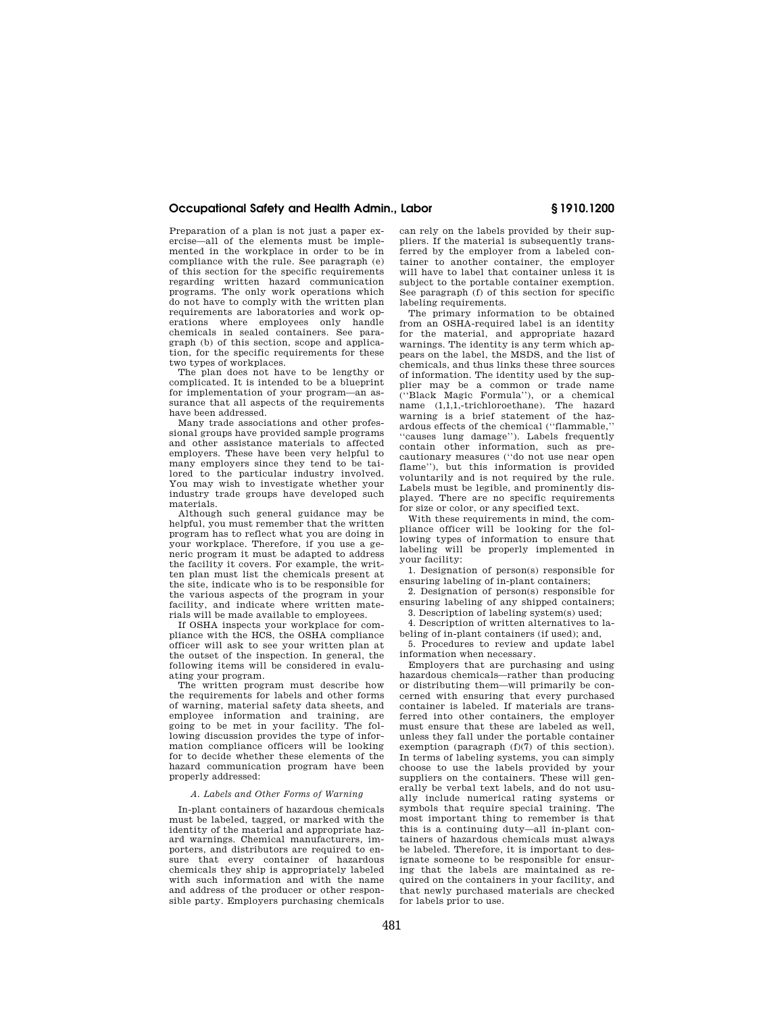Preparation of a plan is not just a paper exercise—all of the elements must be implemented in the workplace in order to be in compliance with the rule. See paragraph (e) of this section for the specific requirements regarding written hazard communication programs. The only work operations which do not have to comply with the written plan requirements are laboratories and work operations where employees only handle chemicals in sealed containers. See paragraph (b) of this section, scope and application, for the specific requirements for these two types of workplaces.

The plan does not have to be lengthy or complicated. It is intended to be a blueprint for implementation of your program—an assurance that all aspects of the requirements have been addressed.

Many trade associations and other professional groups have provided sample programs and other assistance materials to affected employers. These have been very helpful to many employers since they tend to be tailored to the particular industry involved. You may wish to investigate whether your industry trade groups have developed such materials.

Although such general guidance may be helpful, you must remember that the written program has to reflect what you are doing in your workplace. Therefore, if you use a generic program it must be adapted to address the facility it covers. For example, the written plan must list the chemicals present at the site, indicate who is to be responsible for the various aspects of the program in your facility, and indicate where written materials will be made available to employees.

If OSHA inspects your workplace for compliance with the HCS, the OSHA compliance officer will ask to see your written plan at the outset of the inspection. In general, the following items will be considered in evaluating your program.

The written program must describe how the requirements for labels and other forms of warning, material safety data sheets, and employee information and training, are going to be met in your facility. The following discussion provides the type of information compliance officers will be looking for to decide whether these elements of the hazard communication program have been properly addressed:

## *A. Labels and Other Forms of Warning*

In-plant containers of hazardous chemicals must be labeled, tagged, or marked with the identity of the material and appropriate hazard warnings. Chemical manufacturers, importers, and distributors are required to ensure that every container of hazardous chemicals they ship is appropriately labeled with such information and with the name and address of the producer or other responsible party. Employers purchasing chemicals can rely on the labels provided by their suppliers. If the material is subsequently transferred by the employer from a labeled container to another container, the employer will have to label that container unless it is subject to the portable container exemption. See paragraph (f) of this section for specific labeling requirements.

The primary information to be obtained from an OSHA-required label is an identity for the material, and appropriate hazard warnings. The identity is any term which appears on the label, the MSDS, and the list of chemicals, and thus links these three sources of information. The identity used by the supplier may be a common or trade name (''Black Magic Formula''), or a chemical name (1,1,1,-trichloroethane). The hazard warning is a brief statement of the hazardous effects of the chemical (''flammable,'' ''causes lung damage''). Labels frequently contain other information, such as precautionary measures (''do not use near open flame''), but this information is provided voluntarily and is not required by the rule. Labels must be legible, and prominently displayed. There are no specific requirements for size or color, or any specified text.

With these requirements in mind, the compliance officer will be looking for the following types of information to ensure that labeling will be properly implemented in your facility:

1. Designation of person(s) responsible for ensuring labeling of in-plant containers;

2. Designation of person(s) responsible for ensuring labeling of any shipped containers; 3. Description of labeling system(s) used;

4. Description of written alternatives to la-

beling of in-plant containers (if used); and, 5. Procedures to review and update label

information when necessary.

Employers that are purchasing and using hazardous chemicals—rather than producing or distributing them—will primarily be concerned with ensuring that every purchased container is labeled. If materials are transferred into other containers, the employer must ensure that these are labeled as well, unless they fall under the portable container exemption (paragraph  $(f)(7)$  of this section). In terms of labeling systems, you can simply choose to use the labels provided by your suppliers on the containers. These will generally be verbal text labels, and do not usually include numerical rating systems or symbols that require special training. The most important thing to remember is that this is a continuing duty—all in-plant containers of hazardous chemicals must always be labeled. Therefore, it is important to designate someone to be responsible for ensuring that the labels are maintained as required on the containers in your facility, and that newly purchased materials are checked for labels prior to use.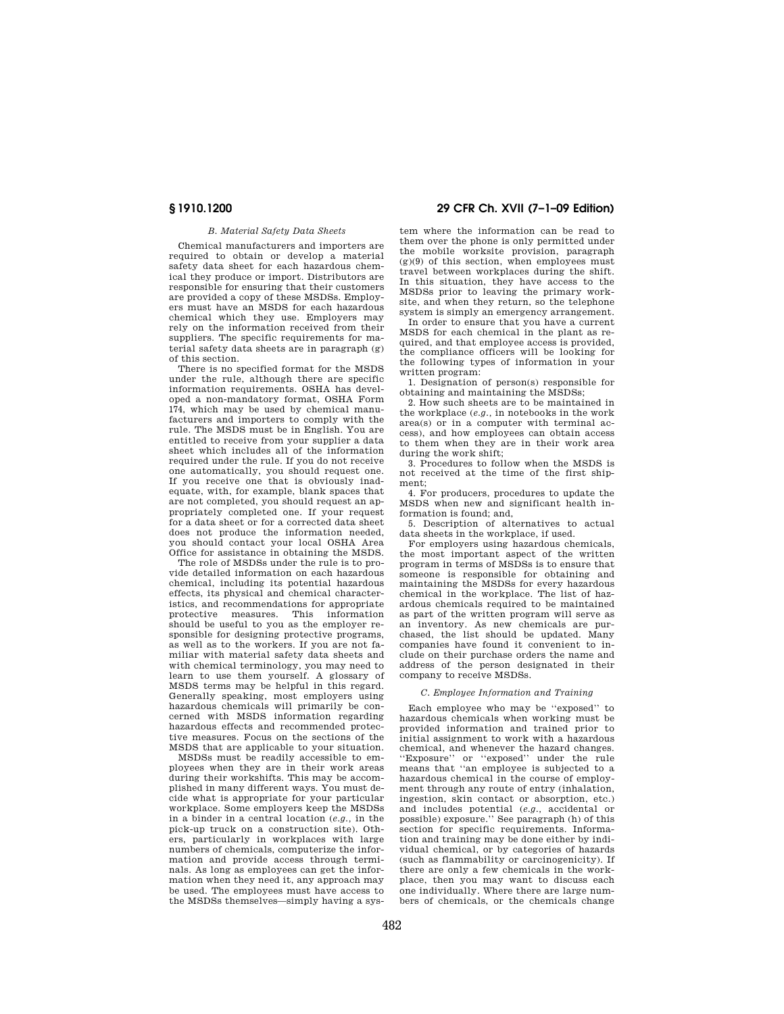## *B. Material Safety Data Sheets*

Chemical manufacturers and importers are required to obtain or develop a material safety data sheet for each hazardous chemical they produce or import. Distributors are responsible for ensuring that their customers are provided a copy of these MSDSs. Employers must have an MSDS for each hazardous chemical which they use. Employers may rely on the information received from their suppliers. The specific requirements for material safety data sheets are in paragraph (g) of this section.

There is no specified format for the MSDS under the rule, although there are specific information requirements. OSHA has developed a non-mandatory format, OSHA Form 174, which may be used by chemical manufacturers and importers to comply with the rule. The MSDS must be in English. You are entitled to receive from your supplier a data sheet which includes all of the information required under the rule. If you do not receive one automatically, you should request one. If you receive one that is obviously inadequate, with, for example, blank spaces that are not completed, you should request an appropriately completed one. If your request for a data sheet or for a corrected data sheet does not produce the information needed, you should contact your local OSHA Area Office for assistance in obtaining the MSDS.

The role of MSDSs under the rule is to provide detailed information on each hazardous chemical, including its potential hazardous effects, its physical and chemical characteristics, and recommendations for appropriate protective measures. This information should be useful to you as the employer responsible for designing protective programs, as well as to the workers. If you are not familiar with material safety data sheets and with chemical terminology, you may need to learn to use them yourself. A glossary of MSDS terms may be helpful in this regard. Generally speaking, most employers using hazardous chemicals will primarily be concerned with MSDS information regarding hazardous effects and recommended protective measures. Focus on the sections of the MSDS that are applicable to your situation.

MSDSs must be readily accessible to employees when they are in their work areas during their workshifts. This may be accomplished in many different ways. You must decide what is appropriate for your particular workplace. Some employers keep the MSDSs in a binder in a central location (*e.g.,* in the pick-up truck on a construction site). Others, particularly in workplaces with large numbers of chemicals, computerize the information and provide access through terminals. As long as employees can get the information when they need it, any approach may be used. The employees must have access to the MSDSs themselves—simply having a sys-

# **§ 1910.1200 29 CFR Ch. XVII (7–1–09 Edition)**

tem where the information can be read to them over the phone is only permitted under the mobile worksite provision, paragraph  $(g)(9)$  of this section, when employees must travel between workplaces during the shift. In this situation, they have access to the MSDSs prior to leaving the primary worksite, and when they return, so the telephone system is simply an emergency arrangement.

In order to ensure that you have a current MSDS for each chemical in the plant as required, and that employee access is provided, the compliance officers will be looking for the following types of information in your written program:

1. Designation of person(s) responsible for obtaining and maintaining the MSDSs;

2. How such sheets are to be maintained in the workplace (*e.g.,* in notebooks in the work area(s) or in a computer with terminal access), and how employees can obtain access to them when they are in their work area during the work shift;

3. Procedures to follow when the MSDS is not received at the time of the first shipment;

4. For producers, procedures to update the MSDS when new and significant health information is found; and,

5. Description of alternatives to actual data sheets in the workplace, if used.

For employers using hazardous chemicals, the most important aspect of the written program in terms of MSDSs is to ensure that someone is responsible for obtaining and maintaining the MSDSs for every hazardous chemical in the workplace. The list of hazardous chemicals required to be maintained as part of the written program will serve as an inventory. As new chemicals are purchased, the list should be updated. Many companies have found it convenient to include on their purchase orders the name and address of the person designated in their company to receive MSDSs.

### *C. Employee Information and Training*

Each employee who may be ''exposed'' to hazardous chemicals when working must be provided information and trained prior to initial assignment to work with a hazardous chemical, and whenever the hazard changes. ''Exposure'' or ''exposed'' under the rule means that ''an employee is subjected to a hazardous chemical in the course of employment through any route of entry (inhalation, ingestion, skin contact or absorption, etc.) and includes potential (*e.g.,* accidental or possible) exposure.'' See paragraph (h) of this section for specific requirements. Information and training may be done either by individual chemical, or by categories of hazards (such as flammability or carcinogenicity). If there are only a few chemicals in the workplace, then you may want to discuss each one individually. Where there are large numbers of chemicals, or the chemicals change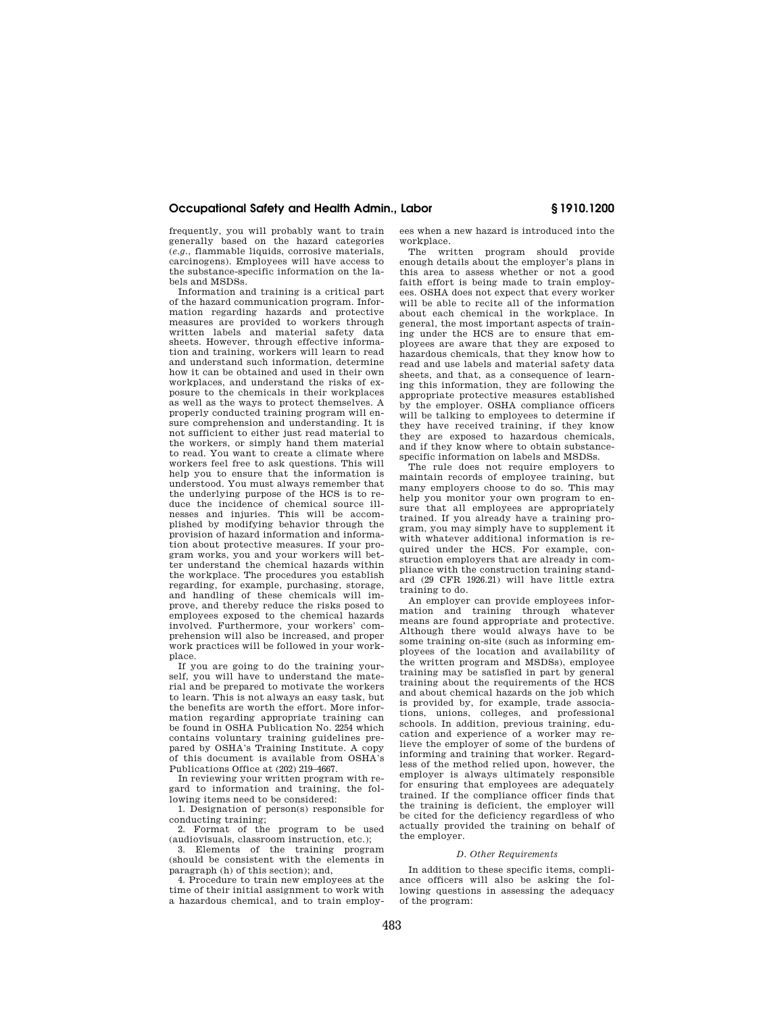frequently, you will probably want to train generally based on the hazard categories (*e.g.,* flammable liquids, corrosive materials, carcinogens). Employees will have access to the substance-specific information on the labels and MSDSs.

Information and training is a critical part of the hazard communication program. Information regarding hazards and protective measures are provided to workers through written labels and material safety data sheets. However, through effective information and training, workers will learn to read and understand such information, determine how it can be obtained and used in their own workplaces, and understand the risks of exposure to the chemicals in their workplaces as well as the ways to protect themselves. A properly conducted training program will ensure comprehension and understanding. It is not sufficient to either just read material to the workers, or simply hand them material to read. You want to create a climate where workers feel free to ask questions. This will help you to ensure that the information is understood. You must always remember that the underlying purpose of the HCS is to reduce the incidence of chemical source illnesses and injuries. This will be accom-plished by modifying behavior through the provision of hazard information and information about protective measures. If your program works, you and your workers will better understand the chemical hazards within the workplace. The procedures you establish regarding, for example, purchasing, storage, and handling of these chemicals will improve, and thereby reduce the risks posed to employees exposed to the chemical hazards involved. Furthermore, your workers' comprehension will also be increased, and proper work practices will be followed in your workplace.

If you are going to do the training yourself, you will have to understand the material and be prepared to motivate the workers to learn. This is not always an easy task, but the benefits are worth the effort. More information regarding appropriate training can be found in OSHA Publication No. 2254 which contains voluntary training guidelines prepared by OSHA's Training Institute. A copy of this document is available from OSHA's Publications Office at (202) 219–4667.

In reviewing your written program with regard to information and training, the following items need to be considered:

1. Designation of person(s) responsible for conducting training;

2. Format of the program to be used (audiovisuals, classroom instruction, etc.);

3. Elements of the training program (should be consistent with the elements in paragraph (h) of this section); and,

4. Procedure to train new employees at the time of their initial assignment to work with a hazardous chemical, and to train employees when a new hazard is introduced into the workplace.

The written program should provide enough details about the employer's plans in this area to assess whether or not a good faith effort is being made to train employees. OSHA does not expect that every worker will be able to recite all of the information about each chemical in the workplace. In general, the most important aspects of training under the HCS are to ensure that employees are aware that they are exposed to hazardous chemicals, that they know how to read and use labels and material safety data sheets, and that, as a consequence of learning this information, they are following the appropriate protective measures established by the employer. OSHA compliance officers will be talking to employees to determine if they have received training, if they know they are exposed to hazardous chemicals, and if they know where to obtain substancespecific information on labels and MSDSs.

The rule does not require employers to maintain records of employee training, but many employers choose to do so. This may help you monitor your own program to ensure that all employees are appropriately trained. If you already have a training program, you may simply have to supplement it with whatever additional information is required under the HCS. For example, construction employers that are already in compliance with the construction training standard (29 CFR 1926.21) will have little extra training to do.

An employer can provide employees information and training through whatever means are found appropriate and protective. Although there would always have to be some training on-site (such as informing employees of the location and availability of the written program and MSDSs), employee training may be satisfied in part by general training about the requirements of the HCS and about chemical hazards on the job which is provided by, for example, trade associations, unions, colleges, and professional schools. In addition, previous training, education and experience of a worker may relieve the employer of some of the burdens of informing and training that worker. Regardless of the method relied upon, however, the employer is always ultimately responsible for ensuring that employees are adequately trained. If the compliance officer finds that the training is deficient, the employer will be cited for the deficiency regardless of who actually provided the training on behalf of the employer.

### *D. Other Requirements*

In addition to these specific items, compliance officers will also be asking the following questions in assessing the adequacy of the program: